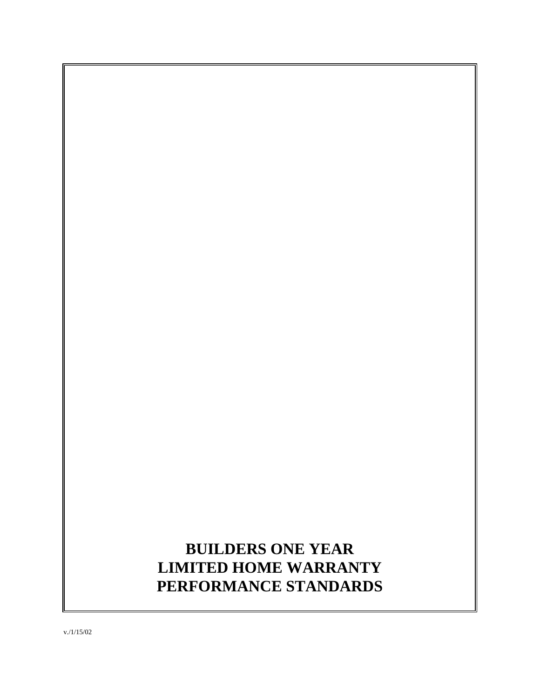# **BUILDERS ONE YEAR LIMITED HOME WARRANTY PERFORMANCE STANDARDS**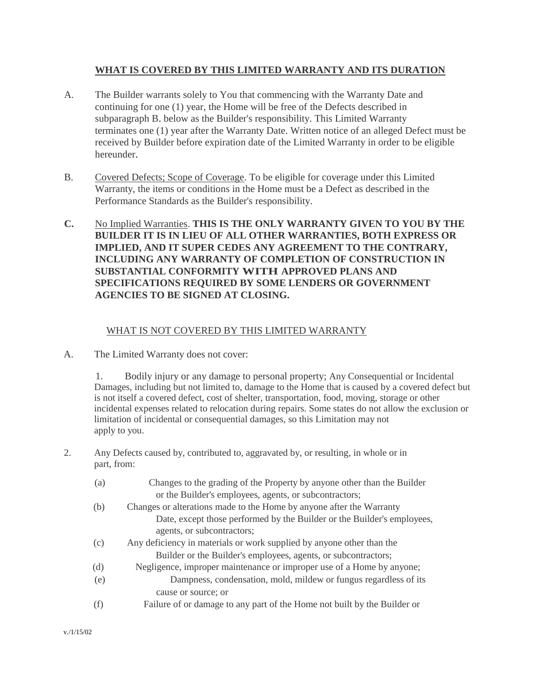# **WHAT IS COVERED BY THIS LIMITED WARRANTY AND ITS DURATION**

- A. The Builder warrants solely to You that commencing with the Warranty Date and continuing for one (1) year, the Home will be free of the Defects described in subparagraph B. below as the Builder's responsibility. This Limited Warranty terminates one (1) year after the Warranty Date. Written notice of an alleged Defect must be received by Builder before expiration date of the Limited Warranty in order to be eligible hereunder.
- B. Covered Defects; Scope of Coverage. To be eligible for coverage under this Limited Warranty, the items or conditions in the Home must be a Defect as described in the Performance Standards as the Builder's responsibility.
- **C.** No Implied Warranties. **THIS IS THE ONLY WARRANTY GIVEN TO YOU BY THE BUILDER IT IS IN LIEU OF ALL OTHER WARRANTIES, BOTH EXPRESS OR IMPLIED, AND IT SUPER CEDES ANY AGREEMENT TO THE CONTRARY, INCLUDING ANY WARRANTY OF COMPLETION OF CONSTRUCTION IN SUBSTANTIAL CONFORMITY WITH APPROVED PLANS AND SPECIFICATIONS REQUIRED BY SOME LENDERS OR GOVERNMENT AGENCIES TO BE SIGNED AT CLOSING.**

# WHAT IS NOT COVERED BY THIS LIMITED WARRANTY

A. The Limited Warranty does not cover:

1. Bodily injury or any damage to personal property; Any Consequential or Incidental Damages, including but not limited to, damage to the Home that is caused by a covered defect but is not itself a covered defect, cost of shelter, transportation, food, moving, storage or other incidental expenses related to relocation during repairs. Some states do not allow the exclusion or limitation of incidental or consequential damages, so this Limitation may not apply to you.

- 2. Any Defects caused by, contributed to, aggravated by, or resulting, in whole or in part, from:
	- (a) Changes to the grading of the Property by anyone other than the Builder or the Builder's employees, agents, or subcontractors;
	- (b) Changes or alterations made to the Home by anyone after the Warranty Date, except those performed by the Builder or the Builder's employees, agents, or subcontractors;
	- (c) Any deficiency in materials or work supplied by anyone other than the Builder or the Builder's employees, agents, or subcontractors;
	- (d) Negligence, improper maintenance or improper use of a Home by anyone;
	- (e) Dampness, condensation, mold, mildew or fungus regardless of its cause or source; or
	- (f) Failure of or damage to any part of the Home not built by the Builder or

v./1/15/02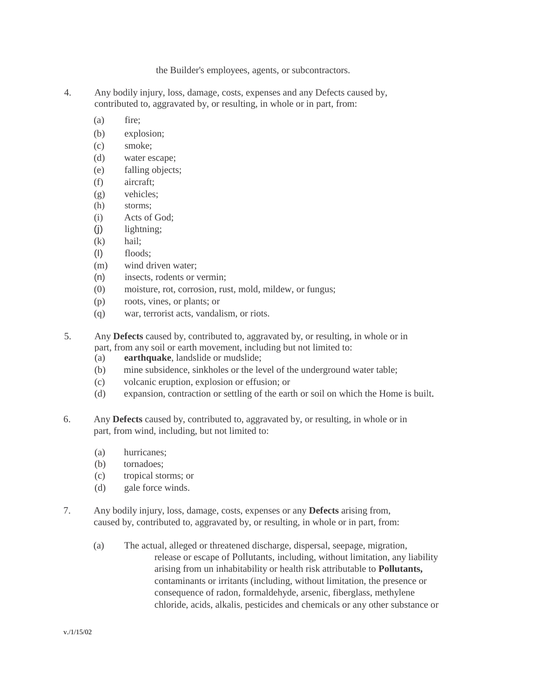#### the Builder's employees, agents, or subcontractors.

- 4. Any bodily injury, loss, damage, costs, expenses and any Defects caused by, contributed to, aggravated by, or resulting, in whole or in part, from:
	- (a) fire;
	- (b) explosion;
	- (c) smoke;
	- (d) water escape;
	- (e) falling objects;
	- (f) aircraft;
	- (g) vehicles;
	- (h) storms;
	- (i) Acts of God;
	- (j) lightning;
	- (k) hail;
	- (I) floods;
	- (m) wind driven water;
	- (n) insects, rodents or vermin;
	- (0) moisture, rot, corrosion, rust, mold, mildew, or fungus;
	- (p) roots, vines, or plants; or
	- (q) war, terrorist acts, vandalism, or riots.
- 5. Any **Defects** caused by, contributed to, aggravated by, or resulting, in whole or in part, from any soil or earth movement, including but not limited to:
	- (a) **earthquake**, landslide or mudslide;
	- (b) mine subsidence, sinkholes or the level of the underground water table;
	- (c) volcanic eruption, explosion or effusion; or
	- (d) expansion, contraction or settling of the earth or soil on which the Home is built.
- 6. Any **Defects** caused by, contributed to, aggravated by, or resulting, in whole or in part, from wind, including, but not limited to:
	- (a) hurricanes;
	- (b) tornadoes;
	- (c) tropical storms; or
	- (d) gale force winds.
- 7. Any bodily injury, loss, damage, costs, expenses or any **Defects** arising from, caused by, contributed to, aggravated by, or resulting, in whole or in part, from:
	- (a) The actual, alleged or threatened discharge, dispersal, seepage, migration, release or escape of Pollutants, including, without limitation, any liability arising from un inhabitability or health risk attributable to **Pollutants,**  contaminants or irritants (including, without limitation, the presence or consequence of radon, formaldehyde, arsenic, fiberglass, methylene chloride, acids, alkalis, pesticides and chemicals or any other substance or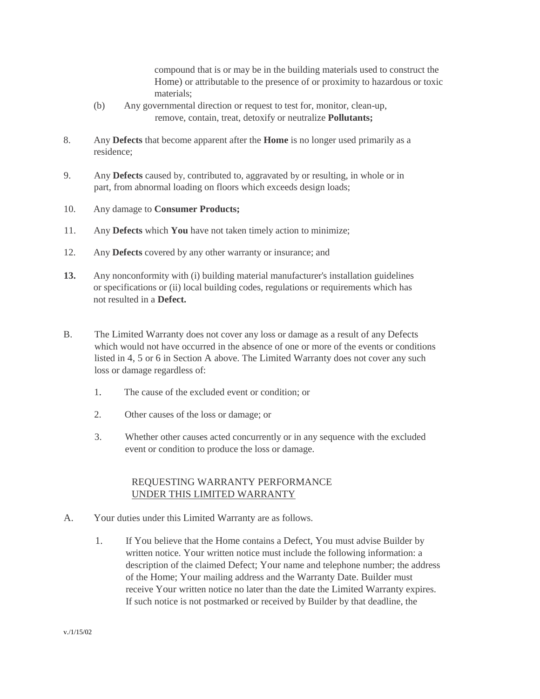compound that is or may be in the building materials used to construct the Home) or attributable to the presence of or proximity to hazardous or toxic materials;

- (b) Any governmental direction or request to test for, monitor, clean-up, remove, contain, treat, detoxify or neutralize **Pollutants;**
- 8. Any **Defects** that become apparent after the **Home** is no longer used primarily as a residence;
- 9. Any **Defects** caused by, contributed to, aggravated by or resulting, in whole or in part, from abnormal loading on floors which exceeds design loads;
- 10. Any damage to **Consumer Products;**
- 11. Any **Defects** which **You** have not taken timely action to minimize;
- 12. Any **Defects** covered by any other warranty or insurance; and
- **13.** Any nonconformity with (i) building material manufacturer's installation guidelines or specifications or (ii) local building codes, regulations or requirements which has not resulted in a **Defect.**
- B. The Limited Warranty does not cover any loss or damage as a result of any Defects which would not have occurred in the absence of one or more of the events or conditions listed in 4, 5 or 6 in Section A above. The Limited Warranty does not cover any such loss or damage regardless of:
	- 1. The cause of the excluded event or condition; or
	- 2. Other causes of the loss or damage; or
	- 3. Whether other causes acted concurrently or in any sequence with the excluded event or condition to produce the loss or damage.

#### REQUESTING WARRANTY PERFORMANCE UNDER THIS LIMITED WARRANTY

- A. Your duties under this Limited Warranty are as follows.
	- 1. If You believe that the Home contains a Defect, You must advise Builder by written notice. Your written notice must include the following information: a description of the claimed Defect; Your name and telephone number; the address of the Home; Your mailing address and the Warranty Date. Builder must receive Your written notice no later than the date the Limited Warranty expires. If such notice is not postmarked or received by Builder by that deadline, the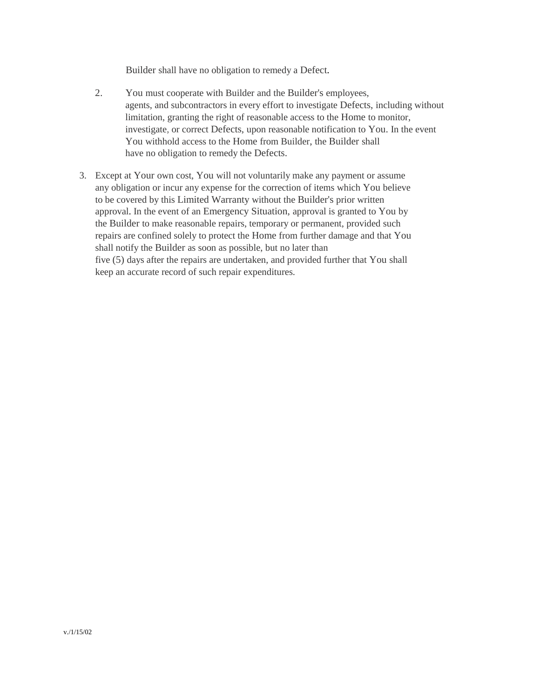Builder shall have no obligation to remedy a Defect.

- 2. You must cooperate with Builder and the Builder's employees, agents, and subcontractors in every effort to investigate Defects, including without limitation, granting the right of reasonable access to the Home to monitor, investigate, or correct Defects, upon reasonable notification to You. In the event You withhold access to the Home from Builder, the Builder shall have no obligation to remedy the Defects.
- 3. Except at Your own cost, You will not voluntarily make any payment or assume any obligation or incur any expense for the correction of items which You believe to be covered by this Limited Warranty without the Builder's prior written approval. In the event of an Emergency Situation, approval is granted to You by the Builder to make reasonable repairs, temporary or permanent, provided such repairs are confined solely to protect the Home from further damage and that You shall notify the Builder as soon as possible, but no later than five (5) days after the repairs are undertaken, and provided further that You shall keep an accurate record of such repair expenditures.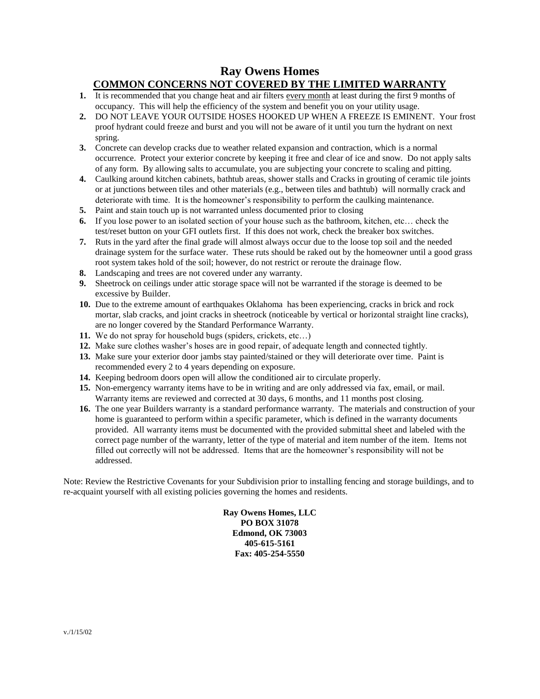# **Ray Owens Homes COMMON CONCERNS NOT COVERED BY THE LIMITED WARRANTY**

- **1.** It is recommended that you change heat and air filters every month at least during the first 9 months of occupancy. This will help the efficiency of the system and benefit you on your utility usage.
- **2.** DO NOT LEAVE YOUR OUTSIDE HOSES HOOKED UP WHEN A FREEZE IS EMINENT. Your frost proof hydrant could freeze and burst and you will not be aware of it until you turn the hydrant on next spring.
- **3.** Concrete can develop cracks due to weather related expansion and contraction, which is a normal occurrence. Protect your exterior concrete by keeping it free and clear of ice and snow. Do not apply salts of any form. By allowing salts to accumulate, you are subjecting your concrete to scaling and pitting.
- **4.** Caulking around kitchen cabinets, bathtub areas, shower stalls and Cracks in grouting of ceramic tile joints or at junctions between tiles and other materials (e.g., between tiles and bathtub) will normally crack and deteriorate with time. It is the homeowner's responsibility to perform the caulking maintenance.
- **5.** Paint and stain touch up is not warranted unless documented prior to closing
- **6.** If you lose power to an isolated section of your house such as the bathroom, kitchen, etc… check the test/reset button on your GFI outlets first. If this does not work, check the breaker box switches.
- **7.** Ruts in the yard after the final grade will almost always occur due to the loose top soil and the needed drainage system for the surface water. These ruts should be raked out by the homeowner until a good grass root system takes hold of the soil; however, do not restrict or reroute the drainage flow.
- **8.** Landscaping and trees are not covered under any warranty.
- **9.** Sheetrock on ceilings under attic storage space will not be warranted if the storage is deemed to be excessive by Builder.
- **10.** Due to the extreme amount of earthquakes Oklahoma has been experiencing, cracks in brick and rock mortar, slab cracks, and joint cracks in sheetrock (noticeable by vertical or horizontal straight line cracks), are no longer covered by the Standard Performance Warranty.
- **11.** We do not spray for household bugs (spiders, crickets, etc…)
- **12.** Make sure clothes washer's hoses are in good repair, of adequate length and connected tightly.
- **13.** Make sure your exterior door jambs stay painted/stained or they will deteriorate over time. Paint is recommended every 2 to 4 years depending on exposure.
- **14.** Keeping bedroom doors open will allow the conditioned air to circulate properly.
- **15.** Non-emergency warranty items have to be in writing and are only addressed via fax, email, or mail. Warranty items are reviewed and corrected at 30 days, 6 months, and 11 months post closing.
- **16.** The one year Builders warranty is a standard performance warranty. The materials and construction of your home is guaranteed to perform within a specific parameter, which is defined in the warranty documents provided. All warranty items must be documented with the provided submittal sheet and labeled with the correct page number of the warranty, letter of the type of material and item number of the item. Items not filled out correctly will not be addressed. Items that are the homeowner's responsibility will not be addressed.

Note: Review the Restrictive Covenants for your Subdivision prior to installing fencing and storage buildings, and to re-acquaint yourself with all existing policies governing the homes and residents.

> **Ray Owens Homes, LLC PO BOX 31078 Edmond, OK 73003 405-615-5161 Fax: 405-254-5550**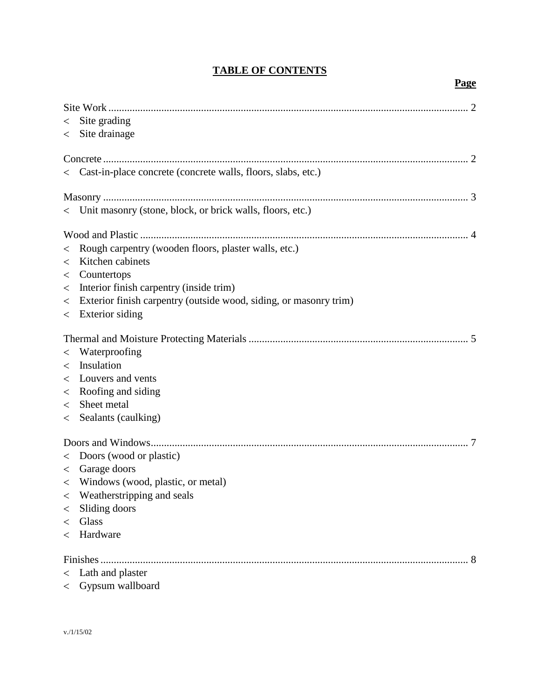# **TABLE OF CONTENTS**

| Site grading<br>$\lt$<br>Site drainage<br>$\lt$                              |  |
|------------------------------------------------------------------------------|--|
|                                                                              |  |
| < Cast-in-place concrete (concrete walls, floors, slabs, etc.)               |  |
|                                                                              |  |
| < Unit masonry (stone, block, or brick walls, floors, etc.)                  |  |
|                                                                              |  |
| Rough carpentry (wooden floors, plaster walls, etc.)                         |  |
| $\lt$<br>Kitchen cabinets<br>$\,<\,$                                         |  |
| Countertops<br>$\lt$                                                         |  |
| Interior finish carpentry (inside trim)<br>$\,<\,$                           |  |
| Exterior finish carpentry (outside wood, siding, or masonry trim)<br>$\,<\,$ |  |
| $\leq$ Exterior siding                                                       |  |
|                                                                              |  |
| Waterproofing                                                                |  |
| $\lt$<br>Insulation<br>$\lt$                                                 |  |
| Louvers and vents<br>$\,<\,$                                                 |  |
| Roofing and siding<br>$\,<\,$                                                |  |
| Sheet metal<br>$\lt$                                                         |  |
| Sealants (caulking)<br>$\lt$                                                 |  |
|                                                                              |  |
|                                                                              |  |
| < Doors (wood or plastic)                                                    |  |
| $\langle$ Garage doors                                                       |  |
| < Windows (wood, plastic, or metal)                                          |  |
| Weatherstripping and seals<br>$\,<\,$                                        |  |
| Sliding doors<br>$\,<\,$<br>Glass<br>$\lt$                                   |  |
| < Hardware                                                                   |  |
|                                                                              |  |
| . 8                                                                          |  |
| $\langle$ Lath and plaster                                                   |  |
|                                                                              |  |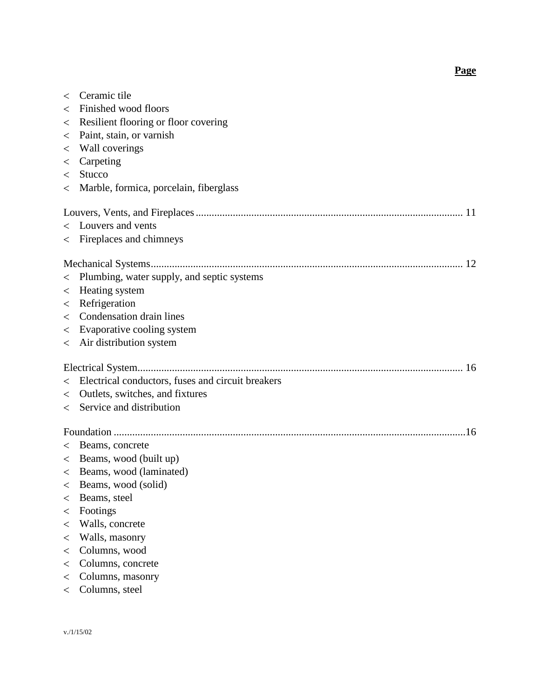**Page**

| $\lt$   | Ceramic tile                                      |
|---------|---------------------------------------------------|
| $\,<\,$ | Finished wood floors                              |
| $\lt$   | Resilient flooring or floor covering              |
| $\,<\,$ | Paint, stain, or varnish                          |
| $\lt$   | Wall coverings                                    |
| $\,<\,$ | Carpeting                                         |
| $\lt$   | Stucco                                            |
| $\,<\,$ | Marble, formica, porcelain, fiberglass            |
|         |                                                   |
|         | < Louvers and vents                               |
|         | < Fireplaces and chimneys                         |
|         |                                                   |
| $\lt$   | Plumbing, water supply, and septic systems        |
| $\,<\,$ | Heating system                                    |
| $\,<\,$ | Refrigeration                                     |
| $\,<\,$ | Condensation drain lines                          |
| $\lt$   | Evaporative cooling system                        |
| $\lt$   | Air distribution system                           |
|         |                                                   |
| $\lt$   | Electrical conductors, fuses and circuit breakers |
| $\lt$   | Outlets, switches, and fixtures                   |
| $\lt$   | Service and distribution                          |
|         |                                                   |
| $\,<\,$ | Beams, concrete                                   |
|         | < Beams, wood (built up)                          |
|         | < Beams, wood (laminated)                         |
|         | Beams, wood (solid)                               |
| $\,<\,$ | Beams, steel                                      |
| $\,<\,$ | Footings                                          |
| $\,<\,$ | Walls, concrete                                   |
| $\,<\,$ | Walls, masonry                                    |
| $\lt$   | Columns, wood                                     |
| $\lt$   | Columns, concrete                                 |
| $\,<\,$ | Columns, masonry                                  |
| $\lt$   | Columns, steel                                    |
|         |                                                   |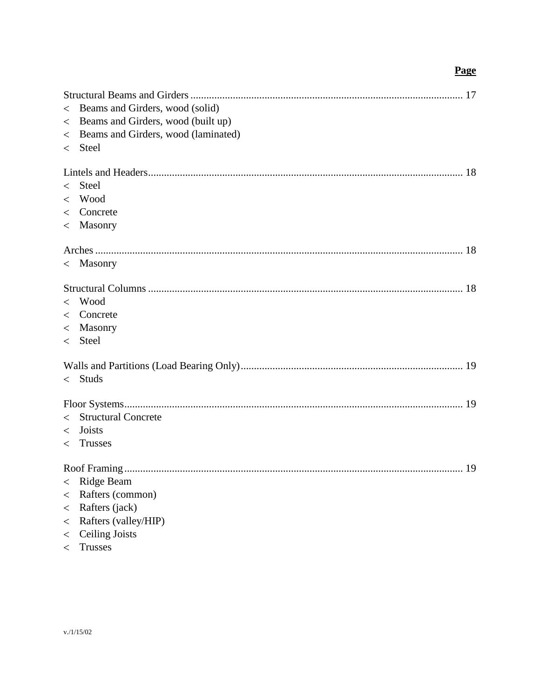# **Page**

| $\lt$   | Beams and Girders, wood (solid)     |
|---------|-------------------------------------|
| $\lt$   | Beams and Girders, wood (built up)  |
| $\lt$   | Beams and Girders, wood (laminated) |
| $\lt$   | <b>Steel</b>                        |
|         |                                     |
|         |                                     |
| $\lt$   | Steel                               |
|         | $<$ Wood                            |
|         | $\langle$ Concrete                  |
|         | $<$ Masonry                         |
|         |                                     |
|         |                                     |
|         | $<$ Masonry                         |
|         |                                     |
|         |                                     |
| $\lt$   | Wood                                |
|         | $\langle$ Concrete                  |
|         | < Masonry                           |
|         | $\langle$ Steel                     |
|         |                                     |
|         |                                     |
| $\lt$   | <b>Studs</b>                        |
|         |                                     |
|         |                                     |
| $\lt$   | <b>Structural Concrete</b>          |
|         | $\langle$ Joists                    |
| $\lt$   | Trusses                             |
|         |                                     |
|         |                                     |
|         | < Ridge Beam                        |
| $\,<\,$ | Rafters (common)                    |
| $\,<\,$ | Rafters (jack)                      |
| $\,<\,$ | Rafters (valley/HIP)                |
| $\,<\,$ | <b>Ceiling Joists</b>               |
| $\,<\,$ | <b>Trusses</b>                      |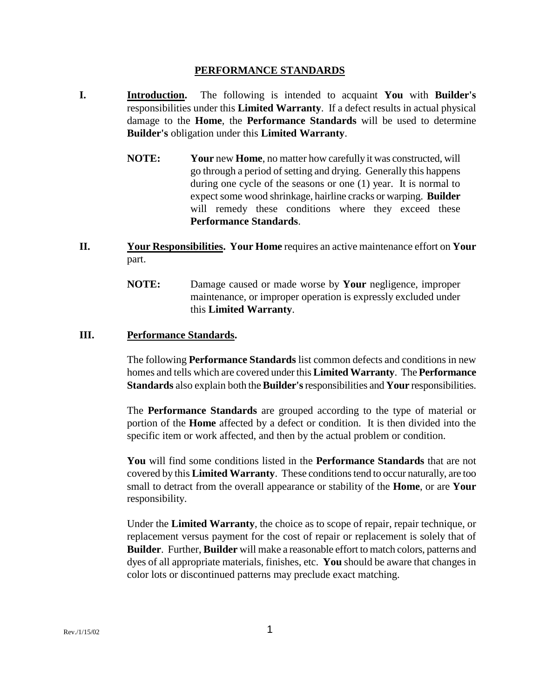#### **PERFORMANCE STANDARDS**

- **I. Introduction.** The following is intended to acquaint **You** with **Builder's** responsibilities under this **Limited Warranty**. If a defect results in actual physical damage to the **Home**, the **Performance Standards** will be used to determine **Builder's** obligation under this **Limited Warranty**.
	- **NOTE: Your** new **Home**, no matter how carefully it was constructed, will go through a period of setting and drying. Generally this happens during one cycle of the seasons or one (1) year. It is normal to expect some wood shrinkage, hairline cracks or warping. **Builder** will remedy these conditions where they exceed these **Performance Standards**.
- **II. Your Responsibilities. Your Home** requires an active maintenance effort on **Your** part.
	- **NOTE:** Damage caused or made worse by **Your** negligence, improper maintenance, or improper operation is expressly excluded under this **Limited Warranty**.

### **III. Performance Standards.**

The following **Performance Standards** list common defects and conditions in new homes and tells which are covered under this **Limited Warranty**. The **Performance Standards** also explain both the **Builder's**responsibilities and **Your** responsibilities.

The **Performance Standards** are grouped according to the type of material or portion of the **Home** affected by a defect or condition. It is then divided into the specific item or work affected, and then by the actual problem or condition.

**You** will find some conditions listed in the **Performance Standards** that are not covered by this **Limited Warranty**. These conditions tend to occur naturally, are too small to detract from the overall appearance or stability of the **Home**, or are **Your** responsibility.

Under the **Limited Warranty**, the choice as to scope of repair, repair technique, or replacement versus payment for the cost of repair or replacement is solely that of **Builder**. Further, **Builder** will make a reasonable effort to match colors, patterns and dyes of all appropriate materials, finishes, etc. **You** should be aware that changes in color lots or discontinued patterns may preclude exact matching.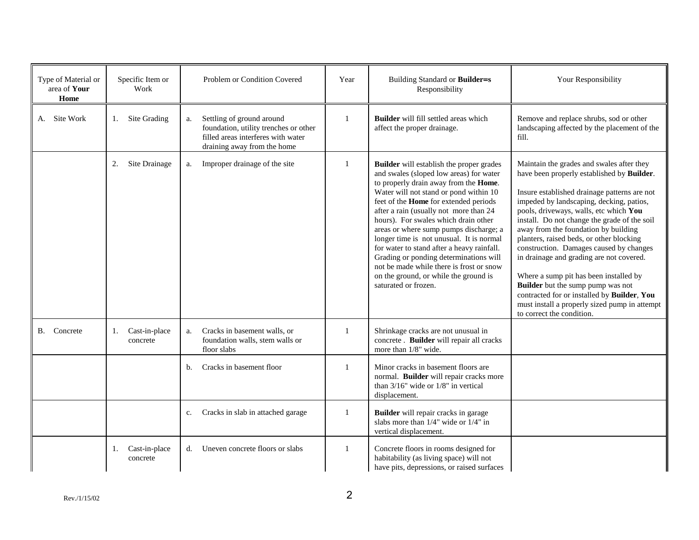| Type of Material or<br>area of Your<br>Home | Specific Item or<br>Work        | Problem or Condition Covered                                                                                                                  | Year         | Building Standard or Builder=s<br>Responsibility                                                                                                                                                                                                                                                                                                                                                                                                                                                                                                                                                           | Your Responsibility                                                                                                                                                                                                                                                                                                                                                                                                                                                                                                                                                                                                                                                         |
|---------------------------------------------|---------------------------------|-----------------------------------------------------------------------------------------------------------------------------------------------|--------------|------------------------------------------------------------------------------------------------------------------------------------------------------------------------------------------------------------------------------------------------------------------------------------------------------------------------------------------------------------------------------------------------------------------------------------------------------------------------------------------------------------------------------------------------------------------------------------------------------------|-----------------------------------------------------------------------------------------------------------------------------------------------------------------------------------------------------------------------------------------------------------------------------------------------------------------------------------------------------------------------------------------------------------------------------------------------------------------------------------------------------------------------------------------------------------------------------------------------------------------------------------------------------------------------------|
| A. Site Work                                | Site Grading<br>1.              | Settling of ground around<br>a.<br>foundation, utility trenches or other<br>filled areas interferes with water<br>draining away from the home |              | Builder will fill settled areas which<br>affect the proper drainage.                                                                                                                                                                                                                                                                                                                                                                                                                                                                                                                                       | Remove and replace shrubs, sod or other<br>landscaping affected by the placement of the<br>fill.                                                                                                                                                                                                                                                                                                                                                                                                                                                                                                                                                                            |
|                                             | Site Drainage<br>2.             | Improper drainage of the site<br>a.                                                                                                           | $\mathbf{1}$ | <b>Builder</b> will establish the proper grades<br>and swales (sloped low areas) for water<br>to properly drain away from the Home.<br>Water will not stand or pond within 10<br>feet of the <b>Home</b> for extended periods<br>after a rain (usually not more than 24<br>hours). For swales which drain other<br>areas or where sump pumps discharge; a<br>longer time is not unusual. It is normal<br>for water to stand after a heavy rainfall.<br>Grading or ponding determinations will<br>not be made while there is frost or snow<br>on the ground, or while the ground is<br>saturated or frozen. | Maintain the grades and swales after they<br>have been properly established by Builder.<br>Insure established drainage patterns are not<br>impeded by landscaping, decking, patios,<br>pools, driveways, walls, etc which You<br>install. Do not change the grade of the soil<br>away from the foundation by building<br>planters, raised beds, or other blocking<br>construction. Damages caused by changes<br>in drainage and grading are not covered.<br>Where a sump pit has been installed by<br><b>Builder</b> but the sump pump was not<br>contracted for or installed by Builder, You<br>must install a properly sized pump in attempt<br>to correct the condition. |
| B. Concrete                                 | Cast-in-place<br>1.<br>concrete | Cracks in basement walls, or<br>a.<br>foundation walls, stem walls or<br>floor slabs                                                          | $\mathbf{1}$ | Shrinkage cracks are not unusual in<br>concrete. Builder will repair all cracks<br>more than 1/8" wide.                                                                                                                                                                                                                                                                                                                                                                                                                                                                                                    |                                                                                                                                                                                                                                                                                                                                                                                                                                                                                                                                                                                                                                                                             |
|                                             |                                 | Cracks in basement floor<br>b.                                                                                                                |              | Minor cracks in basement floors are<br>normal. Builder will repair cracks more<br>than $3/16$ " wide or $1/8$ " in vertical<br>displacement.                                                                                                                                                                                                                                                                                                                                                                                                                                                               |                                                                                                                                                                                                                                                                                                                                                                                                                                                                                                                                                                                                                                                                             |
|                                             |                                 | Cracks in slab in attached garage<br>c.                                                                                                       |              | <b>Builder</b> will repair cracks in garage<br>slabs more than $1/4$ " wide or $1/4$ " in<br>vertical displacement.                                                                                                                                                                                                                                                                                                                                                                                                                                                                                        |                                                                                                                                                                                                                                                                                                                                                                                                                                                                                                                                                                                                                                                                             |
|                                             | Cast-in-place<br>1.<br>concrete | Uneven concrete floors or slabs<br>d.                                                                                                         | -1           | Concrete floors in rooms designed for<br>habitability (as living space) will not<br>have pits, depressions, or raised surfaces                                                                                                                                                                                                                                                                                                                                                                                                                                                                             |                                                                                                                                                                                                                                                                                                                                                                                                                                                                                                                                                                                                                                                                             |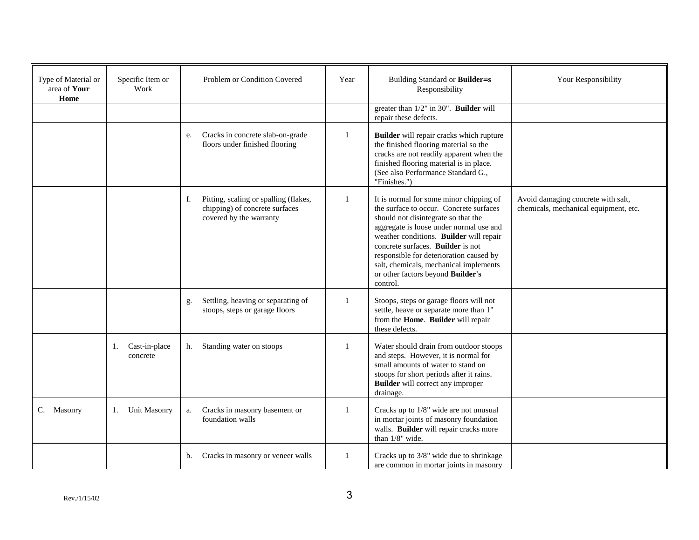| Type of Material or<br>area of Your<br>Home | Specific Item or<br>Work        | Problem or Condition Covered                                                                             | Year         | Building Standard or Builder=s<br>Responsibility                                                                                                                                                                                                                                                                                                                                           | Your Responsibility                                                         |
|---------------------------------------------|---------------------------------|----------------------------------------------------------------------------------------------------------|--------------|--------------------------------------------------------------------------------------------------------------------------------------------------------------------------------------------------------------------------------------------------------------------------------------------------------------------------------------------------------------------------------------------|-----------------------------------------------------------------------------|
|                                             |                                 |                                                                                                          |              | greater than $1/2$ " in 30". <b>Builder</b> will<br>repair these defects.                                                                                                                                                                                                                                                                                                                  |                                                                             |
|                                             |                                 | Cracks in concrete slab-on-grade<br>e.<br>floors under finished flooring                                 | $\mathbf{1}$ | Builder will repair cracks which rupture<br>the finished flooring material so the<br>cracks are not readily apparent when the<br>finished flooring material is in place.<br>(See also Performance Standard G.,<br>"Finishes.")                                                                                                                                                             |                                                                             |
|                                             |                                 | f.<br>Pitting, scaling or spalling (flakes,<br>chipping) of concrete surfaces<br>covered by the warranty | $\mathbf{1}$ | It is normal for some minor chipping of<br>the surface to occur. Concrete surfaces<br>should not disintegrate so that the<br>aggregate is loose under normal use and<br>weather conditions. Builder will repair<br>concrete surfaces. Builder is not<br>responsible for deterioration caused by<br>salt, chemicals, mechanical implements<br>or other factors beyond Builder's<br>control. | Avoid damaging concrete with salt,<br>chemicals, mechanical equipment, etc. |
|                                             |                                 | Settling, heaving or separating of<br>g.<br>stoops, steps or garage floors                               | $\mathbf{1}$ | Stoops, steps or garage floors will not<br>settle, heave or separate more than 1"<br>from the Home. Builder will repair<br>these defects.                                                                                                                                                                                                                                                  |                                                                             |
|                                             | Cast-in-place<br>1.<br>concrete | Standing water on stoops<br>h.                                                                           | -1           | Water should drain from outdoor stoops<br>and steps. However, it is normal for<br>small amounts of water to stand on<br>stoops for short periods after it rains.<br><b>Builder</b> will correct any improper<br>drainage.                                                                                                                                                                  |                                                                             |
| C. Masonry                                  | <b>Unit Masonry</b><br>1.       | Cracks in masonry basement or<br>a.<br>foundation walls                                                  | 1            | Cracks up to 1/8" wide are not unusual<br>in mortar joints of masonry foundation<br>walls. Builder will repair cracks more<br>than 1/8" wide.                                                                                                                                                                                                                                              |                                                                             |
|                                             |                                 | Cracks in masonry or veneer walls<br>b.                                                                  | 1            | Cracks up to 3/8" wide due to shrinkage<br>are common in mortar joints in masonry                                                                                                                                                                                                                                                                                                          |                                                                             |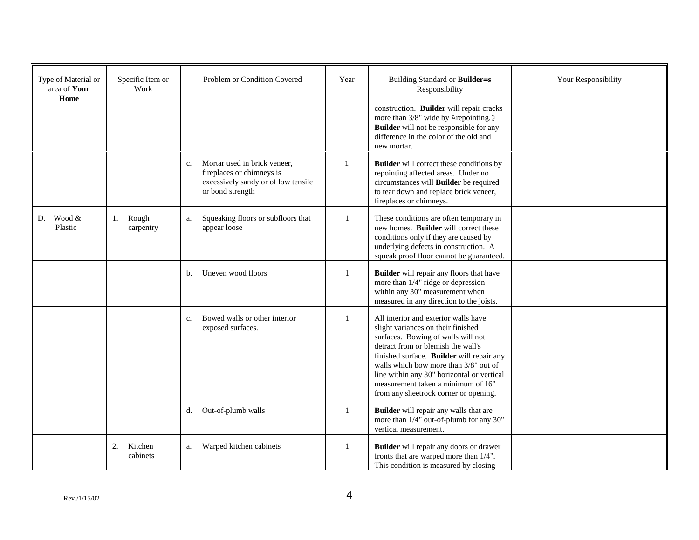| Type of Material or<br>area of Your<br>Home | Specific Item or<br>Work  | Problem or Condition Covered                                                                                                           | Year         | Building Standard or Builder=s<br>Responsibility                                                                                                                                                                                                                                                                                                                          | Your Responsibility |
|---------------------------------------------|---------------------------|----------------------------------------------------------------------------------------------------------------------------------------|--------------|---------------------------------------------------------------------------------------------------------------------------------------------------------------------------------------------------------------------------------------------------------------------------------------------------------------------------------------------------------------------------|---------------------|
|                                             |                           |                                                                                                                                        |              | construction. Builder will repair cracks<br>more than 3/8" wide by Arepointing.@<br><b>Builder</b> will not be responsible for any<br>difference in the color of the old and<br>new mortar.                                                                                                                                                                               |                     |
|                                             |                           | Mortar used in brick veneer.<br>$\mathbf{c}$ .<br>fireplaces or chimneys is<br>excessively sandy or of low tensile<br>or bond strength | $\mathbf{1}$ | <b>Builder</b> will correct these conditions by<br>repointing affected areas. Under no<br>circumstances will Builder be required<br>to tear down and replace brick veneer,<br>fireplaces or chimneys.                                                                                                                                                                     |                     |
| Wood &<br>D.<br>Plastic                     | Rough<br>1.<br>carpentry  | Squeaking floors or subfloors that<br>a.<br>appear loose                                                                               | -1           | These conditions are often temporary in<br>new homes. Builder will correct these<br>conditions only if they are caused by<br>underlying defects in construction. A<br>squeak proof floor cannot be guaranteed.                                                                                                                                                            |                     |
|                                             |                           | Uneven wood floors<br>$\mathbf b$ .                                                                                                    | 1            | <b>Builder</b> will repair any floors that have<br>more than 1/4" ridge or depression<br>within any 30" measurement when<br>measured in any direction to the joists.                                                                                                                                                                                                      |                     |
|                                             |                           | Bowed walls or other interior<br>$C_{\star}$<br>exposed surfaces.                                                                      | -1           | All interior and exterior walls have<br>slight variances on their finished<br>surfaces. Bowing of walls will not<br>detract from or blemish the wall's<br>finished surface. Builder will repair any<br>walls which bow more than 3/8" out of<br>line within any 30" horizontal or vertical<br>measurement taken a minimum of 16"<br>from any sheetrock corner or opening. |                     |
|                                             |                           | Out-of-plumb walls<br>d.                                                                                                               | 1            | Builder will repair any walls that are<br>more than 1/4" out-of-plumb for any 30"<br>vertical measurement.                                                                                                                                                                                                                                                                |                     |
|                                             | 2.<br>Kitchen<br>cabinets | Warped kitchen cabinets<br>a.                                                                                                          | 1            | Builder will repair any doors or drawer<br>fronts that are warped more than 1/4".<br>This condition is measured by closing                                                                                                                                                                                                                                                |                     |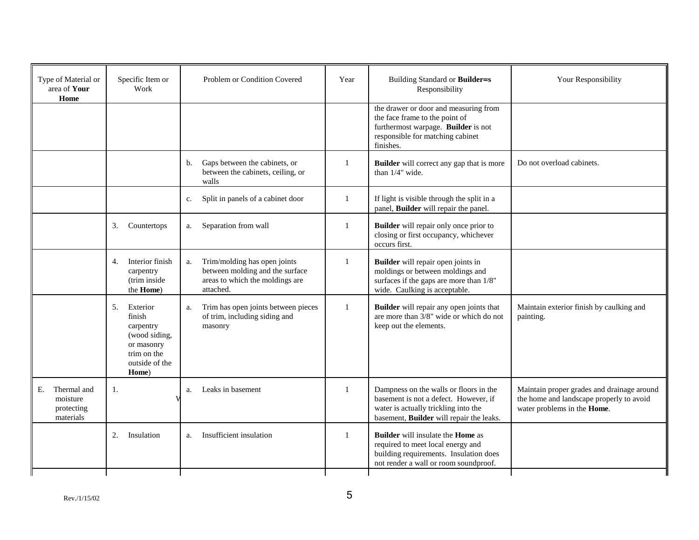| Type of Material or<br>area of Your<br>Home              |              | Specific Item or<br>Work                                                                       |    | Problem or Condition Covered                                                                                    | Year         | Building Standard or Builder=s<br>Responsibility                                                                                                                        | Your Responsibility                                                                                                   |
|----------------------------------------------------------|--------------|------------------------------------------------------------------------------------------------|----|-----------------------------------------------------------------------------------------------------------------|--------------|-------------------------------------------------------------------------------------------------------------------------------------------------------------------------|-----------------------------------------------------------------------------------------------------------------------|
|                                                          |              |                                                                                                |    |                                                                                                                 |              | the drawer or door and measuring from<br>the face frame to the point of<br>furthermost warpage. Builder is not<br>responsible for matching cabinet<br>finishes.         |                                                                                                                       |
|                                                          |              |                                                                                                | b. | Gaps between the cabinets, or<br>between the cabinets, ceiling, or<br>walls                                     | 1            | <b>Builder</b> will correct any gap that is more<br>than 1/4" wide.                                                                                                     | Do not overload cabinets.                                                                                             |
|                                                          |              |                                                                                                | c. | Split in panels of a cabinet door                                                                               | 1            | If light is visible through the split in a<br>panel, Builder will repair the panel.                                                                                     |                                                                                                                       |
|                                                          | 3.           | Countertops                                                                                    | a. | Separation from wall                                                                                            | 1            | Builder will repair only once prior to<br>closing or first occupancy, whichever<br>occurs first.                                                                        |                                                                                                                       |
|                                                          | 4.           | Interior finish<br>carpentry<br>(trim inside<br>the <b>Home</b> )                              | a. | Trim/molding has open joints<br>between molding and the surface<br>areas to which the moldings are<br>attached. | $\mathbf{1}$ | Builder will repair open joints in<br>moldings or between moldings and<br>surfaces if the gaps are more than 1/8"<br>wide. Caulking is acceptable.                      |                                                                                                                       |
|                                                          | 5.<br>finish | Exterior<br>carpentry<br>(wood siding,<br>or masonry<br>trim on the<br>outside of the<br>Home) | a. | Trim has open joints between pieces<br>of trim, including siding and<br>masonry                                 | $\mathbf{1}$ | Builder will repair any open joints that<br>are more than 3/8" wide or which do not<br>keep out the elements.                                                           | Maintain exterior finish by caulking and<br>painting.                                                                 |
| Thermal and<br>Е.<br>moisture<br>protecting<br>materials | 1.           |                                                                                                | a. | Leaks in basement                                                                                               | 1            | Dampness on the walls or floors in the<br>basement is not a defect. However, if<br>water is actually trickling into the<br>basement, Builder will repair the leaks.     | Maintain proper grades and drainage around<br>the home and landscape properly to avoid<br>water problems in the Home. |
|                                                          | 2.           | Insulation                                                                                     | a. | Insufficient insulation                                                                                         | $\mathbf{1}$ | <b>Builder</b> will insulate the <b>Home</b> as<br>required to meet local energy and<br>building requirements. Insulation does<br>not render a wall or room soundproof. |                                                                                                                       |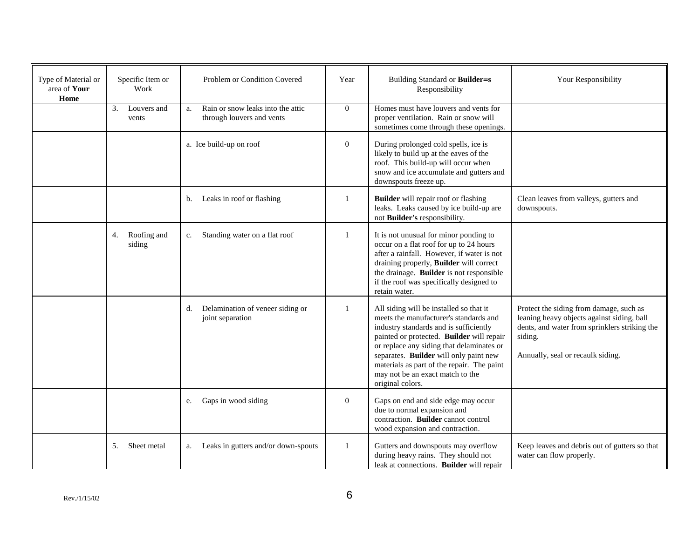| Type of Material or<br>area of Your<br>Home | Specific Item or<br>Work    | Problem or Condition Covered                                         | Year         | Building Standard or Builder=s<br>Responsibility                                                                                                                                                                                                                                                                                                                      | Your Responsibility                                                                                                                                                                    |
|---------------------------------------------|-----------------------------|----------------------------------------------------------------------|--------------|-----------------------------------------------------------------------------------------------------------------------------------------------------------------------------------------------------------------------------------------------------------------------------------------------------------------------------------------------------------------------|----------------------------------------------------------------------------------------------------------------------------------------------------------------------------------------|
|                                             | 3.<br>Louvers and<br>vents  | Rain or snow leaks into the attic<br>a.<br>through louvers and vents | $\mathbf{0}$ | Homes must have louvers and vents for<br>proper ventilation. Rain or snow will<br>sometimes come through these openings.                                                                                                                                                                                                                                              |                                                                                                                                                                                        |
|                                             |                             | a. Ice build-up on roof                                              | $\mathbf{0}$ | During prolonged cold spells, ice is<br>likely to build up at the eaves of the<br>roof. This build-up will occur when<br>snow and ice accumulate and gutters and<br>downspouts freeze up.                                                                                                                                                                             |                                                                                                                                                                                        |
|                                             |                             | Leaks in roof or flashing<br>b.                                      | 1            | <b>Builder</b> will repair roof or flashing<br>leaks. Leaks caused by ice build-up are<br>not Builder's responsibility.                                                                                                                                                                                                                                               | Clean leaves from valleys, gutters and<br>downspouts.                                                                                                                                  |
|                                             | Roofing and<br>4.<br>siding | Standing water on a flat roof<br>c.                                  | 1            | It is not unusual for minor ponding to<br>occur on a flat roof for up to 24 hours<br>after a rainfall. However, if water is not<br>draining properly, Builder will correct<br>the drainage. Builder is not responsible<br>if the roof was specifically designed to<br>retain water.                                                                                   |                                                                                                                                                                                        |
|                                             |                             | Delamination of veneer siding or<br>d.<br>joint separation           |              | All siding will be installed so that it<br>meets the manufacturer's standards and<br>industry standards and is sufficiently<br>painted or protected. Builder will repair<br>or replace any siding that delaminates or<br>separates. Builder will only paint new<br>materials as part of the repair. The paint<br>may not be an exact match to the<br>original colors. | Protect the siding from damage, such as<br>leaning heavy objects against siding, ball<br>dents, and water from sprinklers striking the<br>siding.<br>Annually, seal or recaulk siding. |
|                                             |                             | Gaps in wood siding<br>e.                                            | $\mathbf{0}$ | Gaps on end and side edge may occur<br>due to normal expansion and<br>contraction. Builder cannot control<br>wood expansion and contraction.                                                                                                                                                                                                                          |                                                                                                                                                                                        |
|                                             | 5.<br>Sheet metal           | Leaks in gutters and/or down-spouts<br>a.                            | 1            | Gutters and downspouts may overflow<br>during heavy rains. They should not<br>leak at connections. Builder will repair                                                                                                                                                                                                                                                | Keep leaves and debris out of gutters so that<br>water can flow properly.                                                                                                              |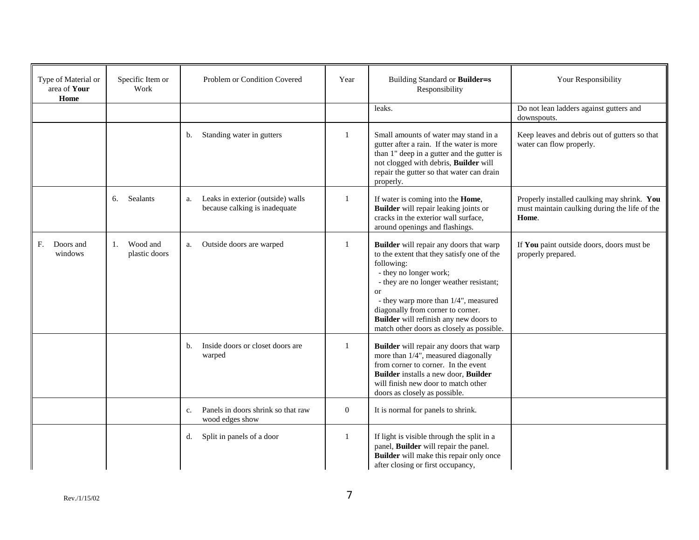| Type of Material or<br>area of Your<br>Home | Specific Item or<br>Work        | Problem or Condition Covered                                             | Year         | Building Standard or Builder=s<br>Responsibility                                                                                                                                                                                                                                                                                                          | Your Responsibility                                                                                   |
|---------------------------------------------|---------------------------------|--------------------------------------------------------------------------|--------------|-----------------------------------------------------------------------------------------------------------------------------------------------------------------------------------------------------------------------------------------------------------------------------------------------------------------------------------------------------------|-------------------------------------------------------------------------------------------------------|
|                                             |                                 |                                                                          |              | leaks.                                                                                                                                                                                                                                                                                                                                                    | Do not lean ladders against gutters and<br>downspouts.                                                |
|                                             |                                 | Standing water in gutters<br>b.                                          | $\mathbf{1}$ | Small amounts of water may stand in a<br>gutter after a rain. If the water is more<br>than 1" deep in a gutter and the gutter is<br>not clogged with debris, Builder will<br>repair the gutter so that water can drain<br>properly.                                                                                                                       | Keep leaves and debris out of gutters so that<br>water can flow properly.                             |
|                                             | <b>Sealants</b><br>6.           | Leaks in exterior (outside) walls<br>a.<br>because calking is inadequate | 1            | If water is coming into the Home,<br><b>Builder</b> will repair leaking joints or<br>cracks in the exterior wall surface,<br>around openings and flashings.                                                                                                                                                                                               | Properly installed caulking may shrink. You<br>must maintain caulking during the life of the<br>Home. |
| F.<br>Doors and<br>windows                  | Wood and<br>1.<br>plastic doors | Outside doors are warped<br>a.                                           | 1            | <b>Builder</b> will repair any doors that warp<br>to the extent that they satisfy one of the<br>following:<br>- they no longer work;<br>- they are no longer weather resistant;<br>or<br>- they warp more than 1/4", measured<br>diagonally from corner to corner.<br>Builder will refinish any new doors to<br>match other doors as closely as possible. | If You paint outside doors, doors must be<br>properly prepared.                                       |
|                                             |                                 | Inside doors or closet doors are<br>b.<br>warped                         | 1            | Builder will repair any doors that warp<br>more than 1/4", measured diagonally<br>from corner to corner. In the event<br>Builder installs a new door, Builder<br>will finish new door to match other<br>doors as closely as possible.                                                                                                                     |                                                                                                       |
|                                             |                                 | Panels in doors shrink so that raw<br>$C_{\star}$<br>wood edges show     | $\mathbf{0}$ | It is normal for panels to shrink.                                                                                                                                                                                                                                                                                                                        |                                                                                                       |
|                                             |                                 | Split in panels of a door<br>d.                                          | 1            | If light is visible through the split in a<br>panel, Builder will repair the panel.<br>Builder will make this repair only once<br>after closing or first occupancy,                                                                                                                                                                                       |                                                                                                       |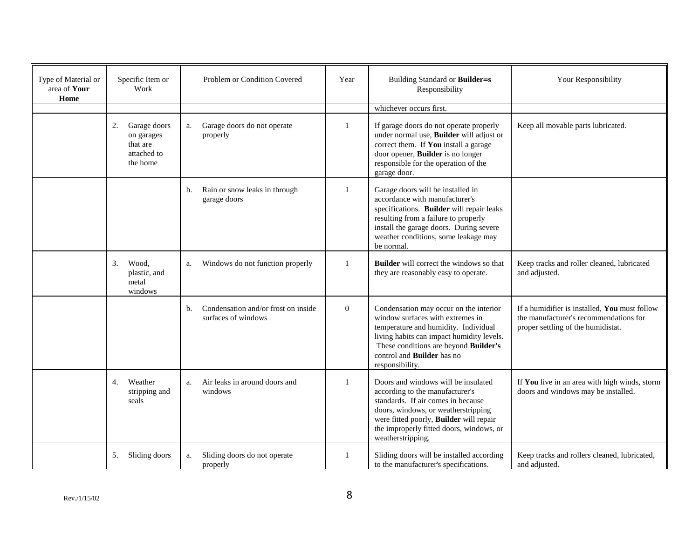| Type of Material or<br>area of Your<br>Home | Specific Item or<br>Work                                                | Problem or Condition Covered                                     | Year           | Building Standard or Builder=s<br>Responsibility                                                                                                                                                                                                                       | Your Responsibility                                                                                                           |
|---------------------------------------------|-------------------------------------------------------------------------|------------------------------------------------------------------|----------------|------------------------------------------------------------------------------------------------------------------------------------------------------------------------------------------------------------------------------------------------------------------------|-------------------------------------------------------------------------------------------------------------------------------|
|                                             |                                                                         |                                                                  |                | whichever occurs first.                                                                                                                                                                                                                                                |                                                                                                                               |
|                                             | Garage doors<br>2.<br>on garages<br>that are<br>attached to<br>the home | Garage doors do not operate<br>a.<br>properly                    | 1              | If garage doors do not operate properly<br>under normal use, Builder will adjust or<br>correct them. If You install a garage<br>door opener, Builder is no longer<br>responsible for the operation of the<br>garage door.                                              | Keep all movable parts lubricated.                                                                                            |
|                                             |                                                                         | Rain or snow leaks in through<br>b.<br>garage doors              | 1              | Garage doors will be installed in<br>accordance with manufacturer's<br>specifications. Builder will repair leaks<br>resulting from a failure to properly<br>install the garage doors. During severe<br>weather conditions, some leakage may<br>be normal.              |                                                                                                                               |
|                                             | 3.<br>Wood,<br>plastic, and<br>metal<br>windows                         | Windows do not function properly<br>a.                           | 1              | <b>Builder</b> will correct the windows so that<br>they are reasonably easy to operate.                                                                                                                                                                                | Keep tracks and roller cleaned, lubricated<br>and adjusted.                                                                   |
|                                             |                                                                         | Condensation and/or frost on inside<br>b.<br>surfaces of windows | $\overline{0}$ | Condensation may occur on the interior<br>window surfaces with extremes in<br>temperature and humidity. Individual<br>living habits can impact humidity levels.<br>These conditions are beyond Builder's<br>control and <b>Builder</b> has no<br>responsibility.       | If a humidifier is installed, You must follow<br>the manufacturer's recommendations for<br>proper settling of the humidistat. |
|                                             | Weather<br>4.<br>stripping and<br>seals                                 | Air leaks in around doors and<br>a.<br>windows                   | 1              | Doors and windows will be insulated<br>according to the manufacturer's<br>standards. If air comes in because<br>doors, windows, or weatherstripping<br>were fitted poorly, <b>Builder</b> will repair<br>the improperly fitted doors, windows, or<br>weatherstripping. | If You live in an area with high winds, storm<br>doors and windows may be installed.                                          |
|                                             | 5.<br>Sliding doors                                                     | Sliding doors do not operate<br>a.<br>properly                   | 1              | Sliding doors will be installed according<br>to the manufacturer's specifications.                                                                                                                                                                                     | Keep tracks and rollers cleaned, lubricated,<br>and adjusted.                                                                 |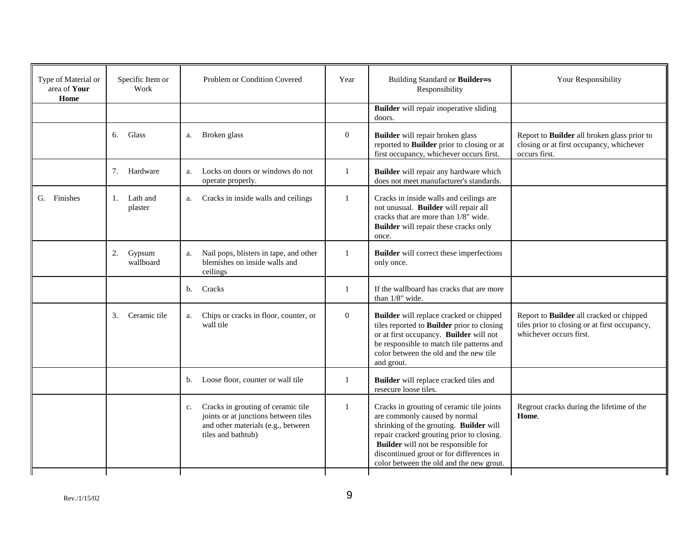| Type of Material or<br>area of Your<br>Home | Specific Item or<br>Work  | Problem or Condition Covered                                                                                                                 | Year           | Building Standard or Builder=s<br>Responsibility                                                                                                                                                                                                                                                         | Your Responsibility                                                                                                         |
|---------------------------------------------|---------------------------|----------------------------------------------------------------------------------------------------------------------------------------------|----------------|----------------------------------------------------------------------------------------------------------------------------------------------------------------------------------------------------------------------------------------------------------------------------------------------------------|-----------------------------------------------------------------------------------------------------------------------------|
|                                             |                           |                                                                                                                                              |                | <b>Builder</b> will repair inoperative sliding<br>doors.                                                                                                                                                                                                                                                 |                                                                                                                             |
|                                             | Glass<br>6.               | Broken glass<br>a.                                                                                                                           | $\overline{0}$ | Builder will repair broken glass<br>reported to Builder prior to closing or at<br>first occupancy, whichever occurs first.                                                                                                                                                                               | Report to Builder all broken glass prior to<br>closing or at first occupancy, whichever<br>occurs first.                    |
|                                             | 7. Hardware               | Locks on doors or windows do not<br>a.<br>operate properly.                                                                                  | 1              | Builder will repair any hardware which<br>does not meet manufacturer's standards.                                                                                                                                                                                                                        |                                                                                                                             |
| G. Finishes                                 | 1. Lath and<br>plaster    | Cracks in inside walls and ceilings<br>a.                                                                                                    | 1              | Cracks in inside walls and ceilings are<br>not unusual. Builder will repair all<br>cracks that are more than 1/8" wide.<br>Builder will repair these cracks only<br>once.                                                                                                                                |                                                                                                                             |
|                                             | 2.<br>Gypsum<br>wallboard | Nail pops, blisters in tape, and other<br>a.<br>blemishes on inside walls and<br>ceilings                                                    | 1              | <b>Builder</b> will correct these imperfections<br>only once.                                                                                                                                                                                                                                            |                                                                                                                             |
|                                             |                           | Cracks<br>$\mathbf{b}$ .                                                                                                                     | $\mathbf{1}$   | If the wallboard has cracks that are more<br>than 1/8" wide.                                                                                                                                                                                                                                             |                                                                                                                             |
|                                             | Ceramic tile<br>3.        | Chips or cracks in floor, counter, or<br>a.<br>wall tile                                                                                     | $\overline{0}$ | Builder will replace cracked or chipped<br>tiles reported to <b>Builder</b> prior to closing<br>or at first occupancy. Builder will not<br>be responsible to match tile patterns and<br>color between the old and the new tile<br>and grout.                                                             | Report to <b>Builder</b> all cracked or chipped<br>tiles prior to closing or at first occupancy,<br>whichever occurs first. |
|                                             |                           | Loose floor, counter or wall tile<br>b.                                                                                                      | 1              | Builder will replace cracked tiles and<br>resecure loose tiles.                                                                                                                                                                                                                                          |                                                                                                                             |
|                                             |                           | Cracks in grouting of ceramic tile<br>c.<br>joints or at junctions between tiles<br>and other materials (e.g., between<br>tiles and bathtub) | 1              | Cracks in grouting of ceramic tile joints<br>are commonly caused by normal<br>shrinking of the grouting. Builder will<br>repair cracked grouting prior to closing.<br><b>Builder</b> will not be responsible for<br>discontinued grout or for differences in<br>color between the old and the new grout. | Regrout cracks during the lifetime of the<br>Home.                                                                          |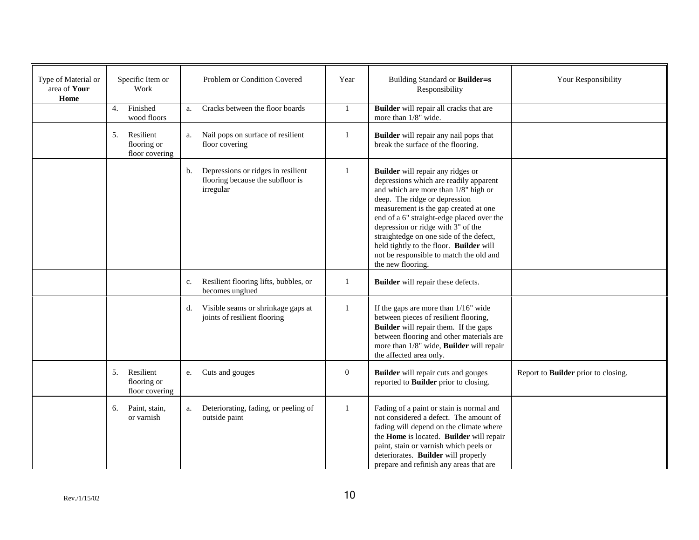| Type of Material or<br>area of Your<br>Home | Specific Item or<br>Work                         | Problem or Condition Covered                                                                          | Year         | Building Standard or Builder=s<br>Responsibility                                                                                                                                                                                                                                                                                                                                                                                       | Your Responsibility                 |
|---------------------------------------------|--------------------------------------------------|-------------------------------------------------------------------------------------------------------|--------------|----------------------------------------------------------------------------------------------------------------------------------------------------------------------------------------------------------------------------------------------------------------------------------------------------------------------------------------------------------------------------------------------------------------------------------------|-------------------------------------|
|                                             | Finished<br>4.<br>wood floors                    | Cracks between the floor boards<br>a.                                                                 | 1            | Builder will repair all cracks that are<br>more than 1/8" wide.                                                                                                                                                                                                                                                                                                                                                                        |                                     |
|                                             | Resilient<br>5.<br>flooring or<br>floor covering | Nail pops on surface of resilient<br>a.<br>floor covering                                             | 1            | Builder will repair any nail pops that<br>break the surface of the flooring.                                                                                                                                                                                                                                                                                                                                                           |                                     |
|                                             |                                                  | Depressions or ridges in resilient<br>$\mathbf{b}$ .<br>flooring because the subfloor is<br>irregular | $\mathbf{1}$ | Builder will repair any ridges or<br>depressions which are readily apparent<br>and which are more than 1/8" high or<br>deep. The ridge or depression<br>measurement is the gap created at one<br>end of a 6" straight-edge placed over the<br>depression or ridge with 3" of the<br>straightedge on one side of the defect,<br>held tightly to the floor. Builder will<br>not be responsible to match the old and<br>the new flooring. |                                     |
|                                             |                                                  | Resilient flooring lifts, bubbles, or<br>c.<br>becomes unglued                                        | 1            | Builder will repair these defects.                                                                                                                                                                                                                                                                                                                                                                                                     |                                     |
|                                             |                                                  | Visible seams or shrinkage gaps at<br>d.<br>joints of resilient flooring                              | $\mathbf{1}$ | If the gaps are more than $1/16$ " wide<br>between pieces of resilient flooring,<br>Builder will repair them. If the gaps<br>between flooring and other materials are<br>more than 1/8" wide, <b>Builder</b> will repair<br>the affected area only.                                                                                                                                                                                    |                                     |
|                                             | Resilient<br>5.<br>flooring or<br>floor covering | Cuts and gouges<br>e.                                                                                 | $\mathbf{0}$ | Builder will repair cuts and gouges<br>reported to Builder prior to closing.                                                                                                                                                                                                                                                                                                                                                           | Report to Builder prior to closing. |
|                                             | Paint, stain,<br>6.<br>or varnish                | Deteriorating, fading, or peeling of<br>a.<br>outside paint                                           | 1            | Fading of a paint or stain is normal and<br>not considered a defect. The amount of<br>fading will depend on the climate where<br>the Home is located. Builder will repair<br>paint, stain or varnish which peels or<br>deteriorates. Builder will properly<br>prepare and refinish any areas that are                                                                                                                                  |                                     |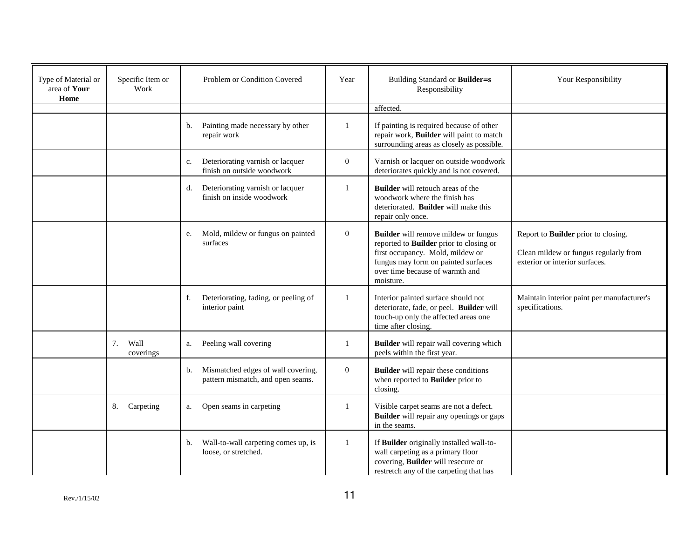| Type of Material or<br>area of Your<br>Home | Specific Item or<br>Work | Problem or Condition Covered                                                  | Year           | Building Standard or Builder=s<br>Responsibility                                                                                                                                                                  | Your Responsibility                                                                                            |
|---------------------------------------------|--------------------------|-------------------------------------------------------------------------------|----------------|-------------------------------------------------------------------------------------------------------------------------------------------------------------------------------------------------------------------|----------------------------------------------------------------------------------------------------------------|
|                                             |                          |                                                                               |                | affected.                                                                                                                                                                                                         |                                                                                                                |
|                                             |                          | Painting made necessary by other<br>b.<br>repair work                         |                | If painting is required because of other<br>repair work, Builder will paint to match<br>surrounding areas as closely as possible.                                                                                 |                                                                                                                |
|                                             |                          | Deteriorating varnish or lacquer<br>c.<br>finish on outside woodwork          | $\overline{0}$ | Varnish or lacquer on outside woodwork<br>deteriorates quickly and is not covered.                                                                                                                                |                                                                                                                |
|                                             |                          | Deteriorating varnish or lacquer<br>d.<br>finish on inside woodwork           | -1             | <b>Builder</b> will retouch areas of the<br>woodwork where the finish has<br>deteriorated. Builder will make this<br>repair only once.                                                                            |                                                                                                                |
|                                             |                          | Mold, mildew or fungus on painted<br>e.<br>surfaces                           | $\overline{0}$ | <b>Builder</b> will remove mildew or fungus<br>reported to Builder prior to closing or<br>first occupancy. Mold, mildew or<br>fungus may form on painted surfaces<br>over time because of warmth and<br>moisture. | Report to Builder prior to closing.<br>Clean mildew or fungus regularly from<br>exterior or interior surfaces. |
|                                             |                          | Deteriorating, fading, or peeling of<br>f.<br>interior paint                  |                | Interior painted surface should not<br>deteriorate, fade, or peel. Builder will<br>touch-up only the affected areas one<br>time after closing.                                                                    | Maintain interior paint per manufacturer's<br>specifications.                                                  |
|                                             | 7.<br>Wall<br>coverings  | Peeling wall covering<br>a.                                                   | $\mathbf{1}$   | Builder will repair wall covering which<br>peels within the first year.                                                                                                                                           |                                                                                                                |
|                                             |                          | Mismatched edges of wall covering,<br>b.<br>pattern mismatch, and open seams. | $\overline{0}$ | <b>Builder</b> will repair these conditions<br>when reported to <b>Builder</b> prior to<br>closing.                                                                                                               |                                                                                                                |
|                                             | 8.<br>Carpeting          | Open seams in carpeting<br>a.                                                 | -1             | Visible carpet seams are not a defect.<br><b>Builder</b> will repair any openings or gaps<br>in the seams.                                                                                                        |                                                                                                                |
|                                             |                          | Wall-to-wall carpeting comes up, is<br>b.<br>loose, or stretched.             | 1              | If Builder originally installed wall-to-<br>wall carpeting as a primary floor<br>covering, Builder will resecure or<br>restretch any of the carpeting that has                                                    |                                                                                                                |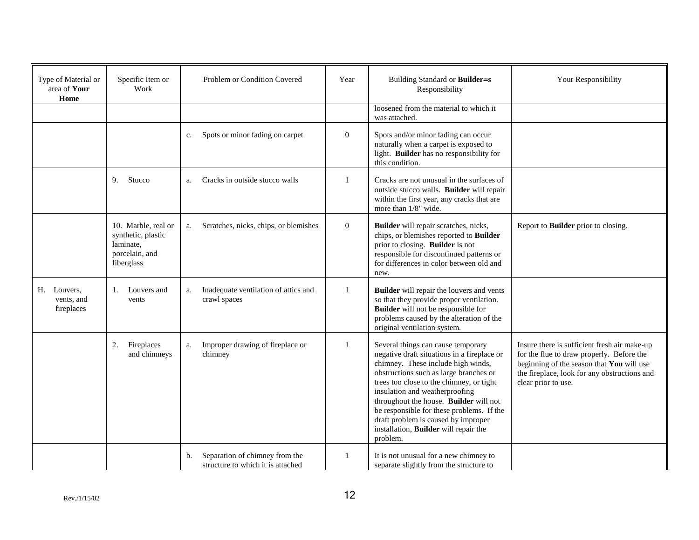| Type of Material or<br>area of Your<br>Home | Specific Item or<br>Work                                                               | Problem or Condition Covered                                              | Year           | Building Standard or Builder=s<br>Responsibility                                                                                                                                                                                                                                                                                                                                                                                   | Your Responsibility                                                                                                                                                                                           |
|---------------------------------------------|----------------------------------------------------------------------------------------|---------------------------------------------------------------------------|----------------|------------------------------------------------------------------------------------------------------------------------------------------------------------------------------------------------------------------------------------------------------------------------------------------------------------------------------------------------------------------------------------------------------------------------------------|---------------------------------------------------------------------------------------------------------------------------------------------------------------------------------------------------------------|
|                                             |                                                                                        |                                                                           |                | loosened from the material to which it<br>was attached.                                                                                                                                                                                                                                                                                                                                                                            |                                                                                                                                                                                                               |
|                                             |                                                                                        | Spots or minor fading on carpet<br>c.                                     | $\overline{0}$ | Spots and/or minor fading can occur<br>naturally when a carpet is exposed to<br>light. Builder has no responsibility for<br>this condition.                                                                                                                                                                                                                                                                                        |                                                                                                                                                                                                               |
|                                             | 9.<br>Stucco                                                                           | Cracks in outside stucco walls<br>a.                                      | 1              | Cracks are not unusual in the surfaces of<br>outside stucco walls. Builder will repair<br>within the first year, any cracks that are<br>more than 1/8" wide.                                                                                                                                                                                                                                                                       |                                                                                                                                                                                                               |
|                                             | 10. Marble, real or<br>synthetic, plastic<br>laminate,<br>porcelain, and<br>fiberglass | Scratches, nicks, chips, or blemishes<br>a.                               | $\overline{0}$ | Builder will repair scratches, nicks,<br>chips, or blemishes reported to Builder<br>prior to closing. Builder is not<br>responsible for discontinued patterns or<br>for differences in color between old and<br>new.                                                                                                                                                                                                               | Report to Builder prior to closing.                                                                                                                                                                           |
| H. Louvers.<br>vents, and<br>fireplaces     | 1. Louvers and<br>vents                                                                | Inadequate ventilation of attics and<br>a.<br>crawl spaces                | 1              | Builder will repair the louvers and vents<br>so that they provide proper ventilation.<br><b>Builder</b> will not be responsible for<br>problems caused by the alteration of the<br>original ventilation system.                                                                                                                                                                                                                    |                                                                                                                                                                                                               |
|                                             | Fireplaces<br>2.<br>and chimneys                                                       | Improper drawing of fireplace or<br>a.<br>chimney                         | 1              | Several things can cause temporary<br>negative draft situations in a fireplace or<br>chimney. These include high winds,<br>obstructions such as large branches or<br>trees too close to the chimney, or tight<br>insulation and weatherproofing<br>throughout the house. Builder will not<br>be responsible for these problems. If the<br>draft problem is caused by improper<br>installation, Builder will repair the<br>problem. | Insure there is sufficient fresh air make-up<br>for the flue to draw properly. Before the<br>beginning of the season that You will use<br>the fireplace, look for any obstructions and<br>clear prior to use. |
|                                             |                                                                                        | Separation of chimney from the<br>b.<br>structure to which it is attached | 1              | It is not unusual for a new chimney to<br>separate slightly from the structure to                                                                                                                                                                                                                                                                                                                                                  |                                                                                                                                                                                                               |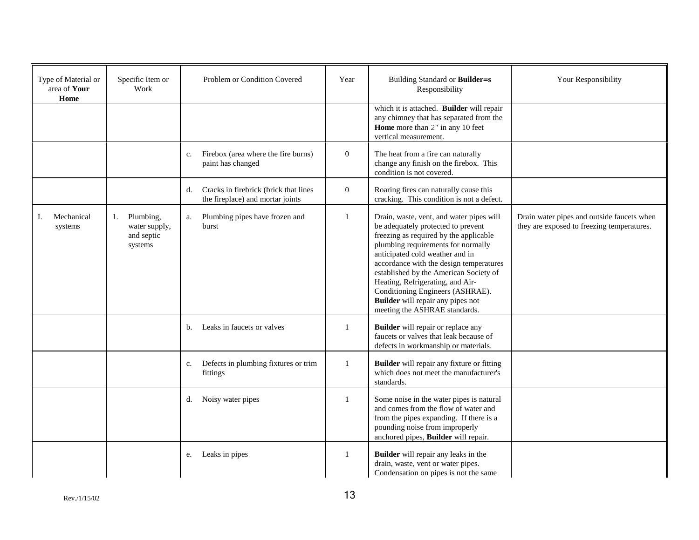| Type of Material or<br>area of Your<br>Home | Specific Item or<br>Work                                  | Problem or Condition Covered                                                    | Year             | Building Standard or Builder=s<br>Responsibility                                                                                                                                                                                                                                                                                                                                                                                            | Your Responsibility                                                                      |
|---------------------------------------------|-----------------------------------------------------------|---------------------------------------------------------------------------------|------------------|---------------------------------------------------------------------------------------------------------------------------------------------------------------------------------------------------------------------------------------------------------------------------------------------------------------------------------------------------------------------------------------------------------------------------------------------|------------------------------------------------------------------------------------------|
|                                             |                                                           |                                                                                 |                  | which it is attached. Builder will repair<br>any chimney that has separated from the<br>Home more than 2" in any 10 feet<br>vertical measurement.                                                                                                                                                                                                                                                                                           |                                                                                          |
|                                             |                                                           | Firebox (area where the fire burns)<br>c.<br>paint has changed                  | $\boldsymbol{0}$ | The heat from a fire can naturally<br>change any finish on the firebox. This<br>condition is not covered.                                                                                                                                                                                                                                                                                                                                   |                                                                                          |
|                                             |                                                           | Cracks in firebrick (brick that lines<br>d.<br>the fireplace) and mortar joints | $\overline{0}$   | Roaring fires can naturally cause this<br>cracking. This condition is not a defect.                                                                                                                                                                                                                                                                                                                                                         |                                                                                          |
| Mechanical<br>I.<br>systems                 | Plumbing,<br>1.<br>water supply,<br>and septic<br>systems | Plumbing pipes have frozen and<br>a.<br>burst                                   | $\mathbf{1}$     | Drain, waste, vent, and water pipes will<br>be adequately protected to prevent<br>freezing as required by the applicable<br>plumbing requirements for normally<br>anticipated cold weather and in<br>accordance with the design temperatures<br>established by the American Society of<br>Heating, Refrigerating, and Air-<br>Conditioning Engineers (ASHRAE).<br><b>Builder</b> will repair any pipes not<br>meeting the ASHRAE standards. | Drain water pipes and outside faucets when<br>they are exposed to freezing temperatures. |
|                                             |                                                           | Leaks in faucets or valves<br>b.                                                | 1                | <b>Builder</b> will repair or replace any<br>faucets or valves that leak because of<br>defects in workmanship or materials.                                                                                                                                                                                                                                                                                                                 |                                                                                          |
|                                             |                                                           | Defects in plumbing fixtures or trim<br>c.<br>fittings                          | 1                | <b>Builder</b> will repair any fixture or fitting<br>which does not meet the manufacturer's<br>standards.                                                                                                                                                                                                                                                                                                                                   |                                                                                          |
|                                             |                                                           | Noisy water pipes<br>d.                                                         | 1                | Some noise in the water pipes is natural<br>and comes from the flow of water and<br>from the pipes expanding. If there is a<br>pounding noise from improperly<br>anchored pipes, Builder will repair.                                                                                                                                                                                                                                       |                                                                                          |
|                                             |                                                           | Leaks in pipes<br>e.                                                            | 1                | Builder will repair any leaks in the<br>drain, waste, vent or water pipes.<br>Condensation on pipes is not the same                                                                                                                                                                                                                                                                                                                         |                                                                                          |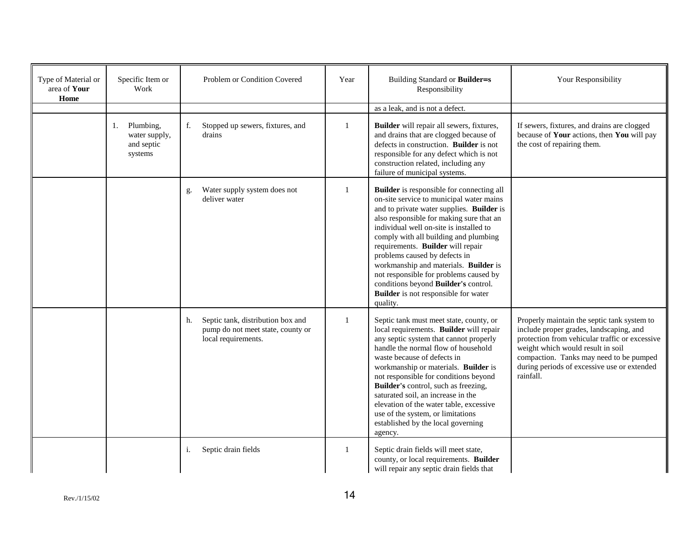| Type of Material or<br>area of Your<br>Home | Specific Item or<br>Work                               | Problem or Condition Covered                                                                        | Year         | Building Standard or Builder=s<br>Responsibility                                                                                                                                                                                                                                                                                                                                                                                                                                                                               | Your Responsibility                                                                                                                                                                                                                                                                  |
|---------------------------------------------|--------------------------------------------------------|-----------------------------------------------------------------------------------------------------|--------------|--------------------------------------------------------------------------------------------------------------------------------------------------------------------------------------------------------------------------------------------------------------------------------------------------------------------------------------------------------------------------------------------------------------------------------------------------------------------------------------------------------------------------------|--------------------------------------------------------------------------------------------------------------------------------------------------------------------------------------------------------------------------------------------------------------------------------------|
|                                             |                                                        |                                                                                                     |              | as a leak, and is not a defect.                                                                                                                                                                                                                                                                                                                                                                                                                                                                                                |                                                                                                                                                                                                                                                                                      |
|                                             | 1. Plumbing,<br>water supply,<br>and septic<br>systems | Stopped up sewers, fixtures, and<br>f.<br>drains                                                    | 1            | Builder will repair all sewers, fixtures,<br>and drains that are clogged because of<br>defects in construction. Builder is not<br>responsible for any defect which is not<br>construction related, including any<br>failure of municipal systems.                                                                                                                                                                                                                                                                              | If sewers, fixtures, and drains are clogged<br>because of Your actions, then You will pay<br>the cost of repairing them.                                                                                                                                                             |
|                                             |                                                        | Water supply system does not<br>g.<br>deliver water                                                 | $\mathbf{1}$ | Builder is responsible for connecting all<br>on-site service to municipal water mains<br>and to private water supplies. Builder is<br>also responsible for making sure that an<br>individual well on-site is installed to<br>comply with all building and plumbing<br>requirements. Builder will repair<br>problems caused by defects in<br>workmanship and materials. Builder is<br>not responsible for problems caused by<br>conditions beyond Builder's control.<br><b>Builder</b> is not responsible for water<br>quality. |                                                                                                                                                                                                                                                                                      |
|                                             |                                                        | Septic tank, distribution box and<br>h.<br>pump do not meet state, county or<br>local requirements. | $\mathbf{1}$ | Septic tank must meet state, county, or<br>local requirements. Builder will repair<br>any septic system that cannot properly<br>handle the normal flow of household<br>waste because of defects in<br>workmanship or materials. Builder is<br>not responsible for conditions beyond<br>Builder's control, such as freezing,<br>saturated soil, an increase in the<br>elevation of the water table, excessive<br>use of the system, or limitations<br>established by the local governing<br>agency.                             | Properly maintain the septic tank system to<br>include proper grades, landscaping, and<br>protection from vehicular traffic or excessive<br>weight which would result in soil<br>compaction. Tanks may need to be pumped<br>during periods of excessive use or extended<br>rainfall. |
|                                             |                                                        | Septic drain fields<br>i.                                                                           | 1            | Septic drain fields will meet state,<br>county, or local requirements. Builder<br>will repair any septic drain fields that                                                                                                                                                                                                                                                                                                                                                                                                     |                                                                                                                                                                                                                                                                                      |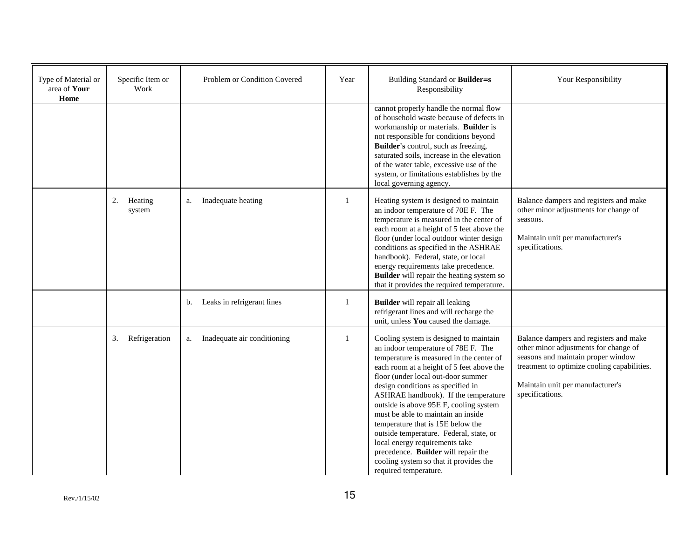| Type of Material or<br>area of Your<br>Home | Specific Item or<br>Work | Problem or Condition Covered      | Year         | Building Standard or Builder=s<br>Responsibility                                                                                                                                                                                                                                                                                                                                                                                                                                                                                                                                                       | Your Responsibility                                                                                                                                                                                                         |
|---------------------------------------------|--------------------------|-----------------------------------|--------------|--------------------------------------------------------------------------------------------------------------------------------------------------------------------------------------------------------------------------------------------------------------------------------------------------------------------------------------------------------------------------------------------------------------------------------------------------------------------------------------------------------------------------------------------------------------------------------------------------------|-----------------------------------------------------------------------------------------------------------------------------------------------------------------------------------------------------------------------------|
|                                             |                          |                                   |              | cannot properly handle the normal flow<br>of household waste because of defects in<br>workmanship or materials. Builder is<br>not responsible for conditions beyond<br>Builder's control, such as freezing,<br>saturated soils, increase in the elevation<br>of the water table, excessive use of the<br>system, or limitations establishes by the<br>local governing agency.                                                                                                                                                                                                                          |                                                                                                                                                                                                                             |
|                                             | 2.<br>Heating<br>system  | Inadequate heating<br>a.          | $\mathbf{1}$ | Heating system is designed to maintain<br>an indoor temperature of 70E F. The<br>temperature is measured in the center of<br>each room at a height of 5 feet above the<br>floor (under local outdoor winter design<br>conditions as specified in the ASHRAE<br>handbook). Federal, state, or local<br>energy requirements take precedence.<br>Builder will repair the heating system so<br>that it provides the required temperature.                                                                                                                                                                  | Balance dampers and registers and make<br>other minor adjustments for change of<br>seasons.<br>Maintain unit per manufacturer's<br>specifications.                                                                          |
|                                             |                          | Leaks in refrigerant lines<br>b.  |              | <b>Builder</b> will repair all leaking<br>refrigerant lines and will recharge the<br>unit, unless You caused the damage.                                                                                                                                                                                                                                                                                                                                                                                                                                                                               |                                                                                                                                                                                                                             |
|                                             | Refrigeration<br>3.      | Inadequate air conditioning<br>a. | $\mathbf{1}$ | Cooling system is designed to maintain<br>an indoor temperature of 78E F. The<br>temperature is measured in the center of<br>each room at a height of 5 feet above the<br>floor (under local out-door summer<br>design conditions as specified in<br>ASHRAE handbook). If the temperature<br>outside is above 95E F, cooling system<br>must be able to maintain an inside.<br>temperature that is 15E below the<br>outside temperature. Federal, state, or<br>local energy requirements take<br>precedence. Builder will repair the<br>cooling system so that it provides the<br>required temperature. | Balance dampers and registers and make<br>other minor adjustments for change of<br>seasons and maintain proper window<br>treatment to optimize cooling capabilities.<br>Maintain unit per manufacturer's<br>specifications. |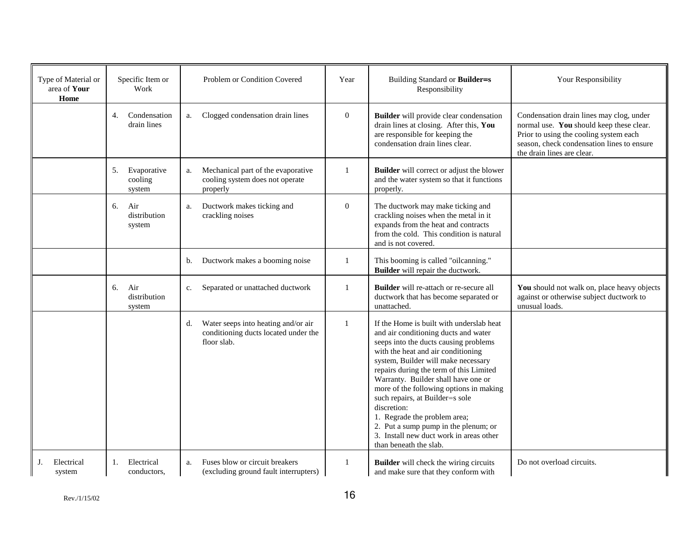| Type of Material or<br>area of Your<br>Home | Specific Item or<br>Work               | Problem or Condition Covered                                                                     | Year             | Building Standard or Builder=s<br>Responsibility                                                                                                                                                                                                                                                                                                                                                                                                                                                                                   | Your Responsibility                                                                                                                                                                                        |
|---------------------------------------------|----------------------------------------|--------------------------------------------------------------------------------------------------|------------------|------------------------------------------------------------------------------------------------------------------------------------------------------------------------------------------------------------------------------------------------------------------------------------------------------------------------------------------------------------------------------------------------------------------------------------------------------------------------------------------------------------------------------------|------------------------------------------------------------------------------------------------------------------------------------------------------------------------------------------------------------|
|                                             | Condensation<br>4.<br>drain lines      | Clogged condensation drain lines<br>a.                                                           | $\overline{0}$   | Builder will provide clear condensation<br>drain lines at closing. After this, You<br>are responsible for keeping the<br>condensation drain lines clear.                                                                                                                                                                                                                                                                                                                                                                           | Condensation drain lines may clog, under<br>normal use. You should keep these clear.<br>Prior to using the cooling system each<br>season, check condensation lines to ensure<br>the drain lines are clear. |
|                                             | 5.<br>Evaporative<br>cooling<br>system | Mechanical part of the evaporative<br>a.<br>cooling system does not operate<br>properly          |                  | <b>Builder</b> will correct or adjust the blower<br>and the water system so that it functions<br>properly.                                                                                                                                                                                                                                                                                                                                                                                                                         |                                                                                                                                                                                                            |
|                                             | 6.<br>Air<br>distribution<br>system    | Ductwork makes ticking and<br>a.<br>crackling noises                                             | $\boldsymbol{0}$ | The ductwork may make ticking and<br>crackling noises when the metal in it<br>expands from the heat and contracts<br>from the cold. This condition is natural<br>and is not covered.                                                                                                                                                                                                                                                                                                                                               |                                                                                                                                                                                                            |
|                                             |                                        | Ductwork makes a booming noise<br>b.                                                             | 1                | This booming is called "oilcanning."<br>Builder will repair the ductwork.                                                                                                                                                                                                                                                                                                                                                                                                                                                          |                                                                                                                                                                                                            |
|                                             | 6.<br>Air<br>distribution<br>system    | Separated or unattached ductwork<br>c.                                                           | 1                | Builder will re-attach or re-secure all<br>ductwork that has become separated or<br>unattached.                                                                                                                                                                                                                                                                                                                                                                                                                                    | You should not walk on, place heavy objects<br>against or otherwise subject ductwork to<br>unusual loads.                                                                                                  |
|                                             |                                        | Water seeps into heating and/or air<br>d.<br>conditioning ducts located under the<br>floor slab. | 1                | If the Home is built with underslab heat<br>and air conditioning ducts and water<br>seeps into the ducts causing problems<br>with the heat and air conditioning<br>system, Builder will make necessary<br>repairs during the term of this Limited<br>Warranty. Builder shall have one or<br>more of the following options in making<br>such repairs, at Builder=s sole<br>discretion:<br>1. Regrade the problem area;<br>2. Put a sump pump in the plenum; or<br>3. Install new duct work in areas other<br>than beneath the slab. |                                                                                                                                                                                                            |
| Electrical<br>J.<br>system                  | Electrical<br>1.<br>conductors,        | Fuses blow or circuit breakers<br>a.<br>(excluding ground fault interrupters)                    | 1                | <b>Builder</b> will check the wiring circuits<br>and make sure that they conform with                                                                                                                                                                                                                                                                                                                                                                                                                                              | Do not overload circuits.                                                                                                                                                                                  |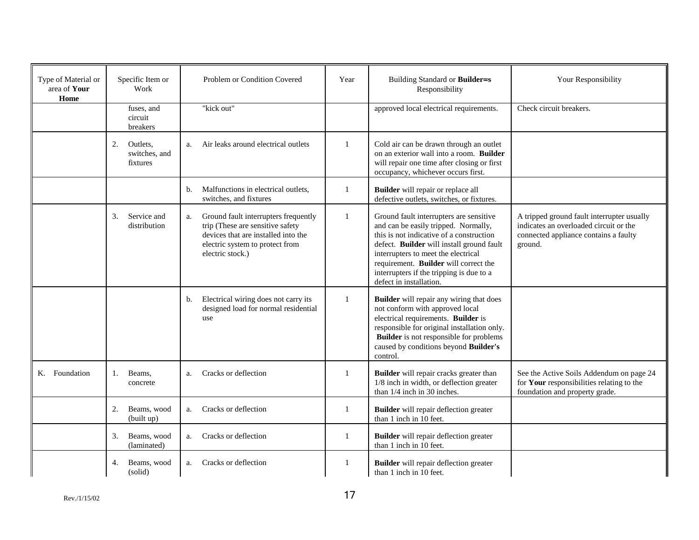| Type of Material or<br>area of Your<br>Home | Specific Item or<br>Work                    | Problem or Condition Covered                                                                                                                                                 | Year | Building Standard or Builder=s<br>Responsibility                                                                                                                                                                                                                                                                                | Your Responsibility                                                                                                                      |
|---------------------------------------------|---------------------------------------------|------------------------------------------------------------------------------------------------------------------------------------------------------------------------------|------|---------------------------------------------------------------------------------------------------------------------------------------------------------------------------------------------------------------------------------------------------------------------------------------------------------------------------------|------------------------------------------------------------------------------------------------------------------------------------------|
|                                             | fuses, and<br>circuit<br>breakers           | "kick out"                                                                                                                                                                   |      | approved local electrical requirements.                                                                                                                                                                                                                                                                                         | Check circuit breakers.                                                                                                                  |
|                                             | 2.<br>Outlets,<br>switches, and<br>fixtures | Air leaks around electrical outlets<br>a.                                                                                                                                    | -1   | Cold air can be drawn through an outlet<br>on an exterior wall into a room. Builder<br>will repair one time after closing or first<br>occupancy, whichever occurs first.                                                                                                                                                        |                                                                                                                                          |
|                                             |                                             | Malfunctions in electrical outlets,<br>b.<br>switches, and fixtures                                                                                                          | 1    | Builder will repair or replace all<br>defective outlets, switches, or fixtures.                                                                                                                                                                                                                                                 |                                                                                                                                          |
|                                             | 3.<br>Service and<br>distribution           | Ground fault interrupters frequently<br>a.<br>trip (These are sensitive safety<br>devices that are installed into the<br>electric system to protect from<br>electric stock.) | 1    | Ground fault interrupters are sensitive<br>and can be easily tripped. Normally,<br>this is not indicative of a construction<br>defect. Builder will install ground fault<br>interrupters to meet the electrical<br>requirement. Builder will correct the<br>interrupters if the tripping is due to a<br>defect in installation. | A tripped ground fault interrupter usually<br>indicates an overloaded circuit or the<br>connected appliance contains a faulty<br>ground. |
|                                             |                                             | Electrical wiring does not carry its<br>b.<br>designed load for normal residential<br>use                                                                                    | 1    | Builder will repair any wiring that does<br>not conform with approved local<br>electrical requirements. Builder is<br>responsible for original installation only.<br><b>Builder</b> is not responsible for problems<br>caused by conditions beyond Builder's<br>control.                                                        |                                                                                                                                          |
| K. Foundation                               | Beams.<br>1.<br>concrete                    | Cracks or deflection<br>a.                                                                                                                                                   | 1    | Builder will repair cracks greater than<br>1/8 inch in width, or deflection greater<br>than 1/4 inch in 30 inches.                                                                                                                                                                                                              | See the Active Soils Addendum on page 24<br>for Your responsibilities relating to the<br>foundation and property grade.                  |
|                                             | 2.<br>Beams, wood<br>(built up)             | Cracks or deflection<br>a.                                                                                                                                                   | 1    | Builder will repair deflection greater<br>than 1 inch in 10 feet.                                                                                                                                                                                                                                                               |                                                                                                                                          |
|                                             | Beams, wood<br>3.<br>(laminated)            | Cracks or deflection<br>a.                                                                                                                                                   | 1    | Builder will repair deflection greater<br>than 1 inch in 10 feet.                                                                                                                                                                                                                                                               |                                                                                                                                          |
|                                             | 4.<br>Beams, wood<br>(solid)                | Cracks or deflection<br>a.                                                                                                                                                   | 1    | Builder will repair deflection greater<br>than 1 inch in 10 feet.                                                                                                                                                                                                                                                               |                                                                                                                                          |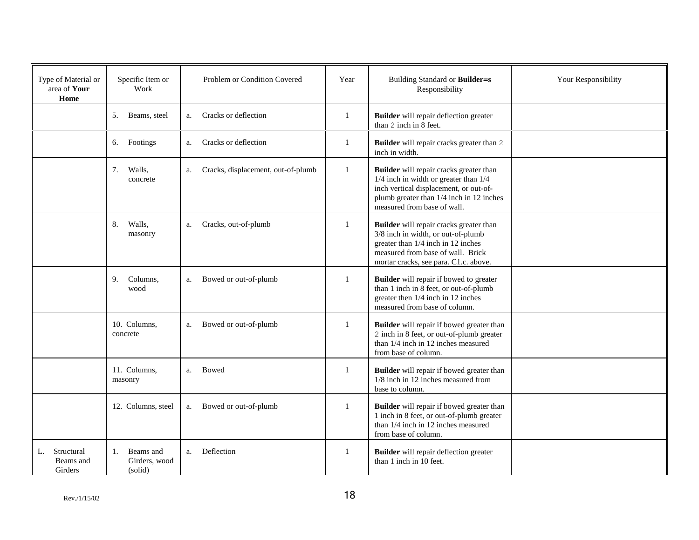| Type of Material or<br>area of Your<br>Home | Specific Item or<br>Work                    | Problem or Condition Covered             | Year         | Building Standard or Builder=s<br>Responsibility                                                                                                                                                          | Your Responsibility |
|---------------------------------------------|---------------------------------------------|------------------------------------------|--------------|-----------------------------------------------------------------------------------------------------------------------------------------------------------------------------------------------------------|---------------------|
|                                             | 5.<br>Beams, steel                          | Cracks or deflection<br>a.               | 1            | <b>Builder</b> will repair deflection greater<br>than 2 inch in 8 feet.                                                                                                                                   |                     |
|                                             | 6. Footings                                 | Cracks or deflection<br>a.               | 1            | Builder will repair cracks greater than 2<br>inch in width.                                                                                                                                               |                     |
|                                             | 7.<br>Walls,<br>concrete                    | Cracks, displacement, out-of-plumb<br>a. | $\mathbf{1}$ | Builder will repair cracks greater than<br>$1/4$ inch in width or greater than $1/4$<br>inch vertical displacement, or out-of-<br>plumb greater than 1/4 inch in 12 inches<br>measured from base of wall. |                     |
|                                             | Walls,<br>8.<br>masonry                     | Cracks, out-of-plumb<br>a.               | $\mathbf{1}$ | Builder will repair cracks greater than<br>3/8 inch in width, or out-of-plumb<br>greater than 1/4 inch in 12 inches<br>measured from base of wall. Brick<br>mortar cracks, see para. C1.c. above.         |                     |
|                                             | 9.<br>Columns.<br>wood                      | Bowed or out-of-plumb<br>a.              | 1            | <b>Builder</b> will repair if bowed to greater<br>than 1 inch in 8 feet, or out-of-plumb<br>greater then 1/4 inch in 12 inches<br>measured from base of column.                                           |                     |
|                                             | 10. Columns,<br>concrete                    | Bowed or out-of-plumb<br>a.              | 1            | Builder will repair if bowed greater than<br>2 inch in 8 feet, or out-of-plumb greater<br>than 1/4 inch in 12 inches measured<br>from base of column.                                                     |                     |
|                                             | 11. Columns,<br>masonry                     | Bowed<br>a.                              | $\mathbf{1}$ | <b>Builder</b> will repair if bowed greater than<br>1/8 inch in 12 inches measured from<br>base to column.                                                                                                |                     |
|                                             | 12. Columns, steel                          | Bowed or out-of-plumb<br>a.              | 1            | Builder will repair if bowed greater than<br>1 inch in 8 feet, or out-of-plumb greater<br>than 1/4 inch in 12 inches measured<br>from base of column.                                                     |                     |
| Structural<br>L.<br>Beams and<br>Girders    | Beams and<br>1.<br>Girders, wood<br>(solid) | Deflection<br>a.                         | 1            | <b>Builder</b> will repair deflection greater<br>than 1 inch in 10 feet.                                                                                                                                  |                     |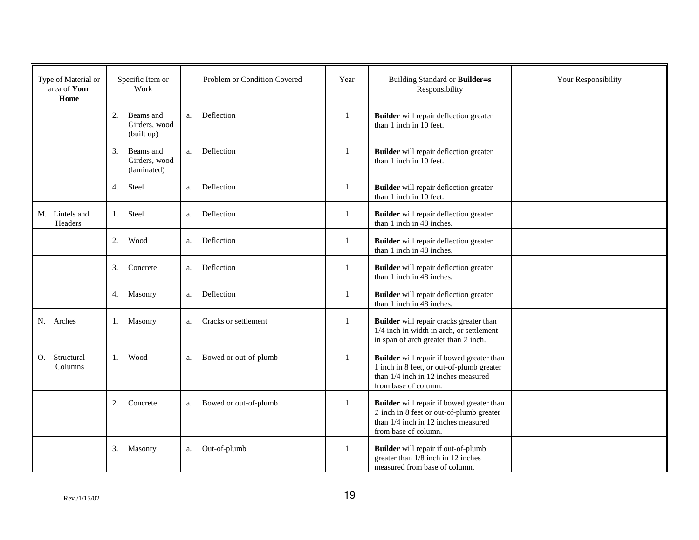| Type of Material or<br>area of Your<br>Home | Specific Item or<br>Work                        | Problem or Condition Covered | Year         | Building Standard or Builder=s<br>Responsibility                                                                                                      | Your Responsibility |
|---------------------------------------------|-------------------------------------------------|------------------------------|--------------|-------------------------------------------------------------------------------------------------------------------------------------------------------|---------------------|
|                                             | 2.<br>Beams and<br>Girders, wood<br>(built up)  | Deflection<br>a.             | 1            | <b>Builder</b> will repair deflection greater<br>than 1 inch in 10 feet.                                                                              |                     |
|                                             | 3.<br>Beams and<br>Girders, wood<br>(laminated) | Deflection<br>a.             | 1            | Builder will repair deflection greater<br>than 1 inch in 10 feet.                                                                                     |                     |
|                                             | Steel<br>4.                                     | Deflection<br>a.             | 1            | Builder will repair deflection greater<br>than 1 inch in 10 feet.                                                                                     |                     |
| M. Lintels and<br>Headers                   | Steel<br>1.                                     | Deflection<br>a.             | $\mathbf{1}$ | Builder will repair deflection greater<br>than 1 inch in 48 inches.                                                                                   |                     |
|                                             | Wood<br>2.                                      | Deflection<br>a.             | $\mathbf{1}$ | Builder will repair deflection greater<br>than 1 inch in 48 inches.                                                                                   |                     |
|                                             | 3.<br>Concrete                                  | Deflection<br>a.             | 1            | Builder will repair deflection greater<br>than 1 inch in 48 inches.                                                                                   |                     |
|                                             | 4. Masonry                                      | Deflection<br>a.             | $\mathbf{1}$ | Builder will repair deflection greater<br>than 1 inch in 48 inches.                                                                                   |                     |
| N. Arches                                   | 1. Masonry                                      | Cracks or settlement<br>a.   | 1            | Builder will repair cracks greater than<br>1/4 inch in width in arch, or settlement<br>in span of arch greater than 2 inch.                           |                     |
| Structural<br>0.<br>Columns                 | Wood<br>1.                                      | Bowed or out-of-plumb<br>a.  | $\mathbf{1}$ | Builder will repair if bowed greater than<br>1 inch in 8 feet, or out-of-plumb greater<br>than 1/4 inch in 12 inches measured<br>from base of column. |                     |
|                                             | 2.<br>Concrete                                  | Bowed or out-of-plumb<br>a.  | 1            | Builder will repair if bowed greater than<br>2 inch in 8 feet or out-of-plumb greater<br>than 1/4 inch in 12 inches measured<br>from base of column.  |                     |
|                                             | 3.<br>Masonry                                   | Out-of-plumb<br>a.           | 1            | Builder will repair if out-of-plumb<br>greater than 1/8 inch in 12 inches<br>measured from base of column.                                            |                     |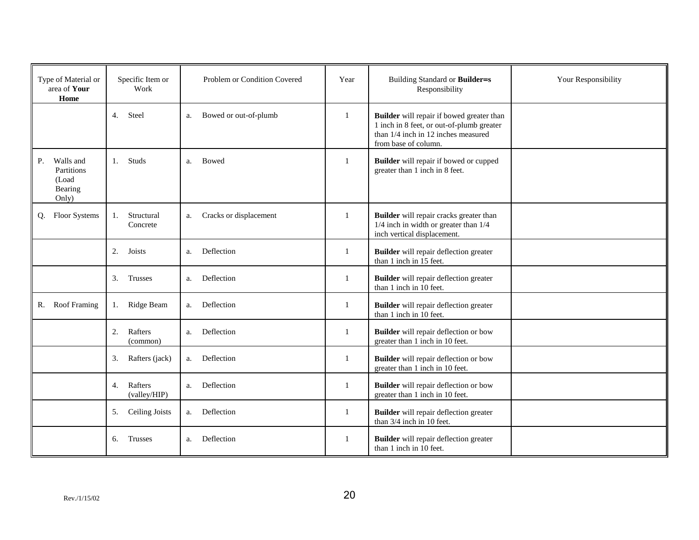| Type of Material or<br>area of Your<br>Home                | Specific Item or<br>Work      | Problem or Condition Covered | Year         | Building Standard or Builder=s<br>Responsibility                                                                                                      | Your Responsibility |
|------------------------------------------------------------|-------------------------------|------------------------------|--------------|-------------------------------------------------------------------------------------------------------------------------------------------------------|---------------------|
|                                                            | 4.<br>Steel                   | Bowed or out-of-plumb<br>a.  | 1            | Builder will repair if bowed greater than<br>1 inch in 8 feet, or out-of-plumb greater<br>than 1/4 inch in 12 inches measured<br>from base of column. |                     |
| Walls and<br>P.<br>Partitions<br>(Load<br>Bearing<br>Only) | Studs<br>1.                   | Bowed<br>a.                  | 1            | <b>Builder</b> will repair if bowed or cupped<br>greater than 1 inch in 8 feet.                                                                       |                     |
| Floor Systems<br>Q.                                        | Structural<br>1.<br>Concrete  | Cracks or displacement<br>a. | 1            | Builder will repair cracks greater than<br>1/4 inch in width or greater than 1/4<br>inch vertical displacement.                                       |                     |
|                                                            | 2.<br>Joists                  | Deflection<br>a.             | $\mathbf{1}$ | Builder will repair deflection greater<br>than 1 inch in 15 feet.                                                                                     |                     |
|                                                            | 3.<br>Trusses                 | Deflection<br>a.             | $\mathbf{1}$ | Builder will repair deflection greater<br>than 1 inch in 10 feet.                                                                                     |                     |
| <b>Roof Framing</b><br>R.                                  | Ridge Beam<br>1.              | Deflection<br>a.             | 1            | Builder will repair deflection greater<br>than 1 inch in 10 feet.                                                                                     |                     |
|                                                            | 2.<br>Rafters<br>(common)     | Deflection<br>a.             | 1            | Builder will repair deflection or bow<br>greater than 1 inch in 10 feet.                                                                              |                     |
|                                                            | 3.<br>Rafters (jack)          | Deflection<br>a.             | $\mathbf{1}$ | <b>Builder</b> will repair deflection or bow<br>greater than 1 inch in 10 feet.                                                                       |                     |
|                                                            | Rafters<br>4.<br>(valley/HIP) | Deflection<br>a.             | 1            | Builder will repair deflection or bow<br>greater than 1 inch in 10 feet.                                                                              |                     |
|                                                            | 5.<br><b>Ceiling Joists</b>   | Deflection<br>a.             | 1            | <b>Builder</b> will repair deflection greater<br>than 3/4 inch in 10 feet.                                                                            |                     |
|                                                            | Trusses<br>6.                 | Deflection<br>a.             | 1            | Builder will repair deflection greater<br>than 1 inch in 10 feet.                                                                                     |                     |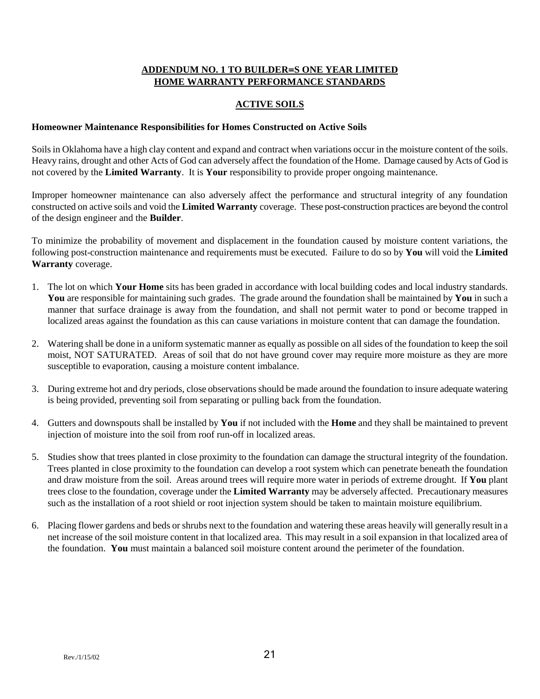## **ADDENDUM NO. 1 TO BUILDER=S ONE YEAR LIMITED HOME WARRANTY PERFORMANCE STANDARDS**

## **ACTIVE SOILS**

#### **Homeowner Maintenance Responsibilities for Homes Constructed on Active Soils**

Soils in Oklahoma have a high clay content and expand and contract when variations occur in the moisture content of the soils. Heavy rains, drought and other Acts of God can adversely affect the foundation of the Home. Damage caused by Acts of God is not covered by the **Limited Warranty**. It is **Your** responsibility to provide proper ongoing maintenance.

Improper homeowner maintenance can also adversely affect the performance and structural integrity of any foundation constructed on active soils and void the **Limited Warranty** coverage. These post-construction practices are beyond the control of the design engineer and the **Builder**.

To minimize the probability of movement and displacement in the foundation caused by moisture content variations, the following post-construction maintenance and requirements must be executed. Failure to do so by **You** will void the **Limited Warranty** coverage.

- 1. The lot on which **Your Home** sits has been graded in accordance with local building codes and local industry standards. **You** are responsible for maintaining such grades. The grade around the foundation shall be maintained by **You** in such a manner that surface drainage is away from the foundation, and shall not permit water to pond or become trapped in localized areas against the foundation as this can cause variations in moisture content that can damage the foundation.
- 2. Watering shall be done in a uniform systematic manner as equally as possible on all sides of the foundation to keep the soil moist, NOT SATURATED. Areas of soil that do not have ground cover may require more moisture as they are more susceptible to evaporation, causing a moisture content imbalance.
- 3. During extreme hot and dry periods, close observations should be made around the foundation to insure adequate watering is being provided, preventing soil from separating or pulling back from the foundation.
- 4. Gutters and downspouts shall be installed by **You** if not included with the **Home** and they shall be maintained to prevent injection of moisture into the soil from roof run-off in localized areas.
- 5. Studies show that trees planted in close proximity to the foundation can damage the structural integrity of the foundation. Trees planted in close proximity to the foundation can develop a root system which can penetrate beneath the foundation and draw moisture from the soil. Areas around trees will require more water in periods of extreme drought. If **You** plant trees close to the foundation, coverage under the **Limited Warranty** may be adversely affected. Precautionary measures such as the installation of a root shield or root injection system should be taken to maintain moisture equilibrium.
- 6. Placing flower gardens and beds or shrubs next to the foundation and watering these areas heavily will generally result in a net increase of the soil moisture content in that localized area. This may result in a soil expansion in that localized area of the foundation. **You** must maintain a balanced soil moisture content around the perimeter of the foundation.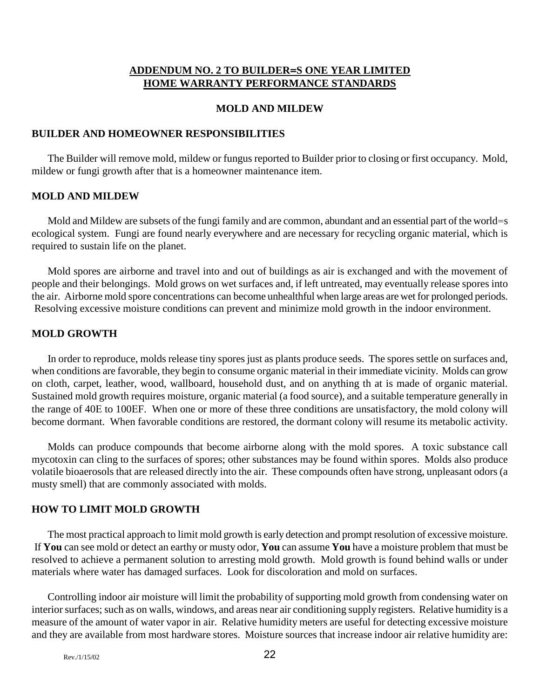# **ADDENDUM NO. 2 TO BUILDER=S ONE YEAR LIMITED HOME WARRANTY PERFORMANCE STANDARDS**

#### **MOLD AND MILDEW**

#### **BUILDER AND HOMEOWNER RESPONSIBILITIES**

The Builder will remove mold, mildew or fungus reported to Builder prior to closing or first occupancy. Mold, mildew or fungi growth after that is a homeowner maintenance item.

### **MOLD AND MILDEW**

Mold and Mildew are subsets of the fungi family and are common, abundant and an essential part of the world=s ecological system. Fungi are found nearly everywhere and are necessary for recycling organic material, which is required to sustain life on the planet.

Mold spores are airborne and travel into and out of buildings as air is exchanged and with the movement of people and their belongings. Mold grows on wet surfaces and, if left untreated, may eventually release spores into the air. Airborne mold spore concentrations can become unhealthful when large areas are wet for prolonged periods. Resolving excessive moisture conditions can prevent and minimize mold growth in the indoor environment.

#### **MOLD GROWTH**

In order to reproduce, molds release tiny spores just as plants produce seeds. The spores settle on surfaces and, when conditions are favorable, they begin to consume organic material in their immediate vicinity. Molds can grow on cloth, carpet, leather, wood, wallboard, household dust, and on anything th at is made of organic material. Sustained mold growth requires moisture, organic material (a food source), and a suitable temperature generally in the range of 40E to 100EF. When one or more of these three conditions are unsatisfactory, the mold colony will become dormant. When favorable conditions are restored, the dormant colony will resume its metabolic activity.

Molds can produce compounds that become airborne along with the mold spores. A toxic substance call mycotoxin can cling to the surfaces of spores; other substances may be found within spores. Molds also produce volatile bioaerosols that are released directly into the air. These compounds often have strong, unpleasant odors (a musty smell) that are commonly associated with molds.

# **HOW TO LIMIT MOLD GROWTH**

The most practical approach to limit mold growth is early detection and prompt resolution of excessive moisture. If **You** can see mold or detect an earthy or musty odor, **You** can assume **You** have a moisture problem that must be resolved to achieve a permanent solution to arresting mold growth. Mold growth is found behind walls or under materials where water has damaged surfaces. Look for discoloration and mold on surfaces.

Controlling indoor air moisture will limit the probability of supporting mold growth from condensing water on interior surfaces; such as on walls, windows, and areas near air conditioning supply registers. Relative humidity is a measure of the amount of water vapor in air. Relative humidity meters are useful for detecting excessive moisture and they are available from most hardware stores. Moisture sources that increase indoor air relative humidity are: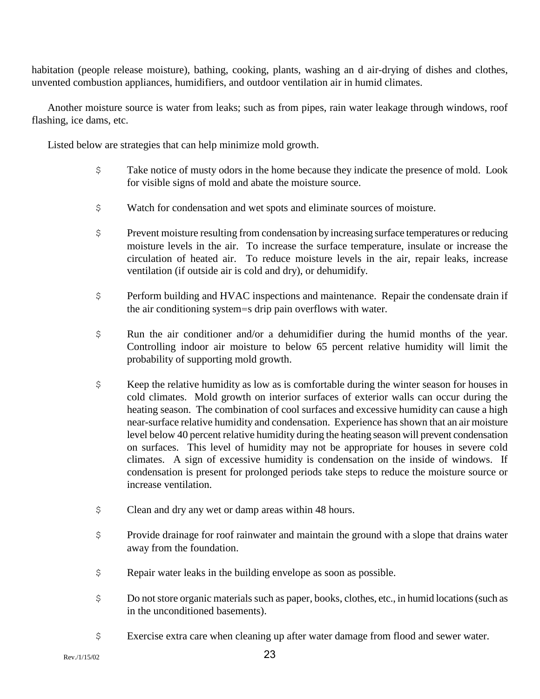habitation (people release moisture), bathing, cooking, plants, washing an d air-drying of dishes and clothes, unvented combustion appliances, humidifiers, and outdoor ventilation air in humid climates.

Another moisture source is water from leaks; such as from pipes, rain water leakage through windows, roof flashing, ice dams, etc.

Listed below are strategies that can help minimize mold growth.

- \$ Take notice of musty odors in the home because they indicate the presence of mold. Look for visible signs of mold and abate the moisture source.
- \$ Watch for condensation and wet spots and eliminate sources of moisture.
- \$ Prevent moisture resulting from condensation by increasing surface temperatures or reducing moisture levels in the air. To increase the surface temperature, insulate or increase the circulation of heated air. To reduce moisture levels in the air, repair leaks, increase ventilation (if outside air is cold and dry), or dehumidify.
- \$ Perform building and HVAC inspections and maintenance. Repair the condensate drain if the air conditioning system=s drip pain overflows with water.
- \$ Run the air conditioner and/or a dehumidifier during the humid months of the year. Controlling indoor air moisture to below 65 percent relative humidity will limit the probability of supporting mold growth.
- \$ Keep the relative humidity as low as is comfortable during the winter season for houses in cold climates. Mold growth on interior surfaces of exterior walls can occur during the heating season. The combination of cool surfaces and excessive humidity can cause a high near-surface relative humidity and condensation. Experience has shown that an air moisture level below 40 percent relative humidity during the heating season will prevent condensation on surfaces. This level of humidity may not be appropriate for houses in severe cold climates. A sign of excessive humidity is condensation on the inside of windows. If condensation is present for prolonged periods take steps to reduce the moisture source or increase ventilation.
- \$ Clean and dry any wet or damp areas within 48 hours.
- \$ Provide drainage for roof rainwater and maintain the ground with a slope that drains water away from the foundation.
- \$ Repair water leaks in the building envelope as soon as possible.
- \$ Do not store organic materials such as paper, books, clothes, etc., in humid locations (such as in the unconditioned basements).
- \$ Exercise extra care when cleaning up after water damage from flood and sewer water.